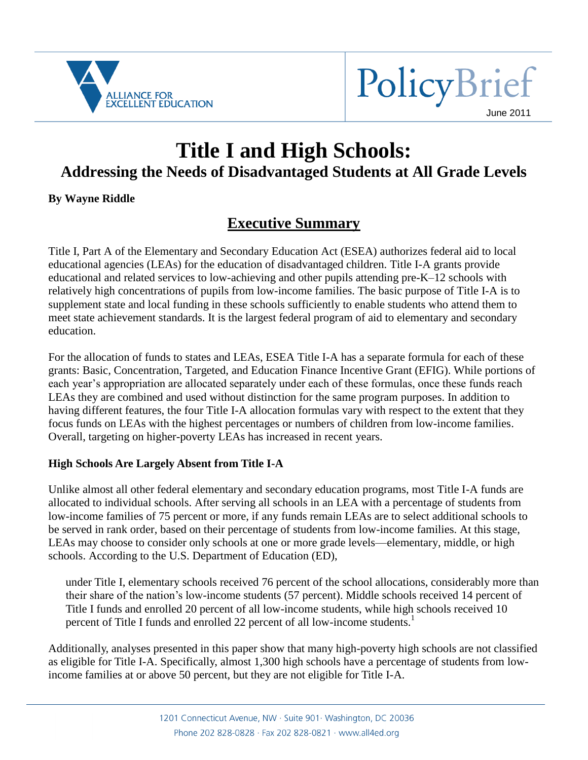



# **Title I and High Schools: Addressing the Needs of Disadvantaged Students at All Grade Levels**

#### **By Wayne Riddle**

## **Executive Summary**

Title I, Part A of the Elementary and Secondary Education Act (ESEA) authorizes federal aid to local educational agencies (LEAs) for the education of disadvantaged children. Title I-A grants provide educational and related services to low-achieving and other pupils attending pre-K–12 schools with relatively high concentrations of pupils from low-income families. The basic purpose of Title I-A is to supplement state and local funding in these schools sufficiently to enable students who attend them to meet state achievement standards. It is the largest federal program of aid to elementary and secondary education.

For the allocation of funds to states and LEAs, ESEA Title I-A has a separate formula for each of these grants: Basic, Concentration, Targeted, and Education Finance Incentive Grant (EFIG). While portions of each year's appropriation are allocated separately under each of these formulas, once these funds reach LEAs they are combined and used without distinction for the same program purposes. In addition to having different features, the four Title I-A allocation formulas vary with respect to the extent that they focus funds on LEAs with the highest percentages or numbers of children from low-income families. Overall, targeting on higher-poverty LEAs has increased in recent years.

#### **High Schools Are Largely Absent from Title I-A**

Unlike almost all other federal elementary and secondary education programs, most Title I-A funds are allocated to individual schools. After serving all schools in an LEA with a percentage of students from low-income families of 75 percent or more, if any funds remain LEAs are to select additional schools to be served in rank order, based on their percentage of students from low-income families. At this stage, LEAs may choose to consider only schools at one or more grade levels—elementary, middle, or high schools. According to the U.S. Department of Education (ED),

under Title I, elementary schools received 76 percent of the school allocations, considerably more than their share of the nation's low-income students (57 percent). Middle schools received 14 percent of Title I funds and enrolled 20 percent of all low-income students, while high schools received 10 percent of Title I funds and enrolled 22 percent of all low-income students.<sup>1</sup>

Additionally, analyses presented in this paper show that many high-poverty high schools are not classified as eligible for Title I-A. Specifically, almost 1,300 high schools have a percentage of students from lowincome families at or above 50 percent, but they are not eligible for Title I-A.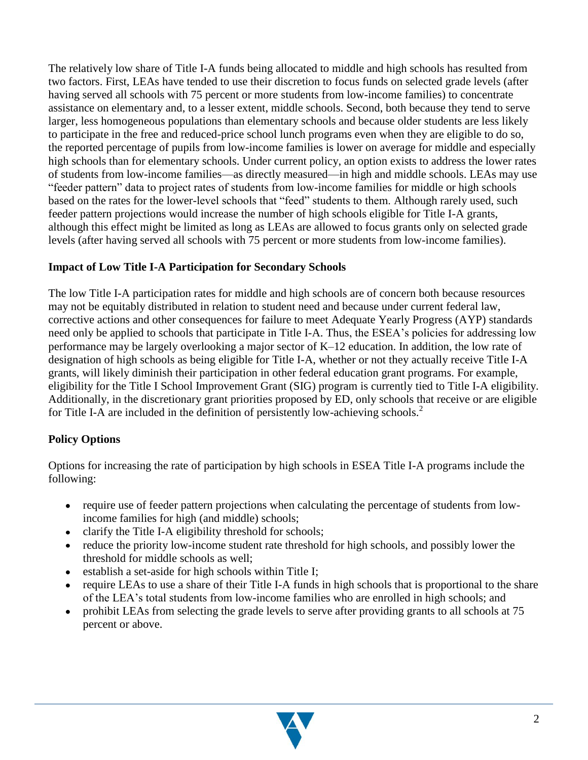The relatively low share of Title I-A funds being allocated to middle and high schools has resulted from two factors. First, LEAs have tended to use their discretion to focus funds on selected grade levels (after having served all schools with 75 percent or more students from low-income families) to concentrate assistance on elementary and, to a lesser extent, middle schools. Second, both because they tend to serve larger, less homogeneous populations than elementary schools and because older students are less likely to participate in the free and reduced-price school lunch programs even when they are eligible to do so, the reported percentage of pupils from low-income families is lower on average for middle and especially high schools than for elementary schools. Under current policy, an option exists to address the lower rates of students from low-income families—as directly measured—in high and middle schools. LEAs may use ―feeder pattern‖ data to project rates of students from low-income families for middle or high schools based on the rates for the lower-level schools that "feed" students to them. Although rarely used, such feeder pattern projections would increase the number of high schools eligible for Title I-A grants, although this effect might be limited as long as LEAs are allowed to focus grants only on selected grade levels (after having served all schools with 75 percent or more students from low-income families).

#### **Impact of Low Title I-A Participation for Secondary Schools**

The low Title I-A participation rates for middle and high schools are of concern both because resources may not be equitably distributed in relation to student need and because under current federal law, corrective actions and other consequences for failure to meet Adequate Yearly Progress (AYP) standards need only be applied to schools that participate in Title I-A. Thus, the ESEA's policies for addressing low performance may be largely overlooking a major sector of K–12 education. In addition, the low rate of designation of high schools as being eligible for Title I-A, whether or not they actually receive Title I-A grants, will likely diminish their participation in other federal education grant programs. For example, eligibility for the Title I School Improvement Grant (SIG) program is currently tied to Title I-A eligibility. Additionally, in the discretionary grant priorities proposed by ED, only schools that receive or are eligible for Title I-A are included in the definition of persistently low-achieving schools.<sup>2</sup>

#### **Policy Options**

Options for increasing the rate of participation by high schools in ESEA Title I-A programs include the following:

- require use of feeder pattern projections when calculating the percentage of students from lowincome families for high (and middle) schools;
- clarify the Title I-A eligibility threshold for schools;
- reduce the priority low-income student rate threshold for high schools, and possibly lower the threshold for middle schools as well;
- establish a set-aside for high schools within Title I;
- require LEAs to use a share of their Title I-A funds in high schools that is proportional to the share of the LEA's total students from low-income families who are enrolled in high schools; and
- $\bullet$ prohibit LEAs from selecting the grade levels to serve after providing grants to all schools at 75 percent or above.

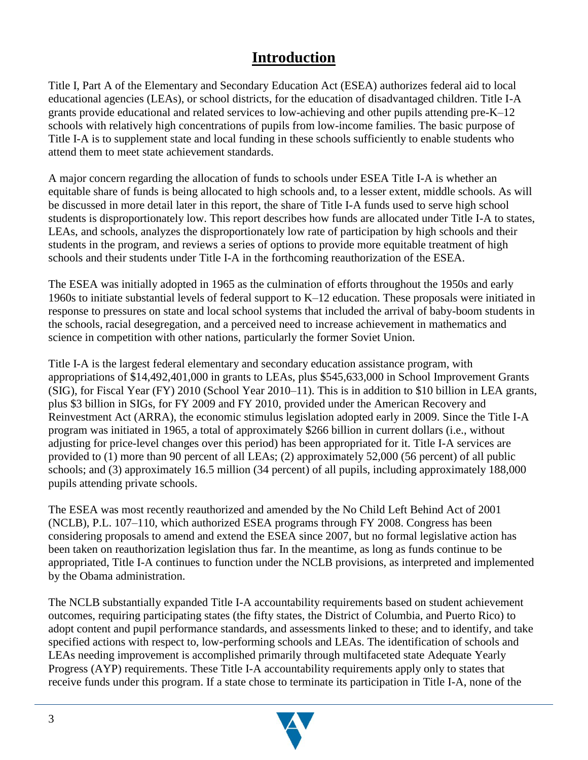### **Introduction**

Title I, Part A of the Elementary and Secondary Education Act (ESEA) authorizes federal aid to local educational agencies (LEAs), or school districts, for the education of disadvantaged children. Title I-A grants provide educational and related services to low-achieving and other pupils attending pre-K–12 schools with relatively high concentrations of pupils from low-income families. The basic purpose of Title I-A is to supplement state and local funding in these schools sufficiently to enable students who attend them to meet state achievement standards.

A major concern regarding the allocation of funds to schools under ESEA Title I-A is whether an equitable share of funds is being allocated to high schools and, to a lesser extent, middle schools. As will be discussed in more detail later in this report, the share of Title I-A funds used to serve high school students is disproportionately low. This report describes how funds are allocated under Title I-A to states, LEAs, and schools, analyzes the disproportionately low rate of participation by high schools and their students in the program, and reviews a series of options to provide more equitable treatment of high schools and their students under Title I-A in the forthcoming reauthorization of the ESEA.

The ESEA was initially adopted in 1965 as the culmination of efforts throughout the 1950s and early 1960s to initiate substantial levels of federal support to K–12 education. These proposals were initiated in response to pressures on state and local school systems that included the arrival of baby-boom students in the schools, racial desegregation, and a perceived need to increase achievement in mathematics and science in competition with other nations, particularly the former Soviet Union.

Title I-A is the largest federal elementary and secondary education assistance program, with appropriations of \$14,492,401,000 in grants to LEAs, plus \$545,633,000 in School Improvement Grants (SIG), for Fiscal Year (FY) 2010 (School Year 2010–11). This is in addition to \$10 billion in LEA grants, plus \$3 billion in SIGs, for FY 2009 and FY 2010, provided under the American Recovery and Reinvestment Act (ARRA), the economic stimulus legislation adopted early in 2009. Since the Title I-A program was initiated in 1965, a total of approximately \$266 billion in current dollars (i.e., without adjusting for price-level changes over this period) has been appropriated for it. Title I-A services are provided to (1) more than 90 percent of all LEAs; (2) approximately 52,000 (56 percent) of all public schools; and (3) approximately 16.5 million (34 percent) of all pupils, including approximately 188,000 pupils attending private schools.

The ESEA was most recently reauthorized and amended by the No Child Left Behind Act of 2001 (NCLB), P.L. 107–110, which authorized ESEA programs through FY 2008. Congress has been considering proposals to amend and extend the ESEA since 2007, but no formal legislative action has been taken on reauthorization legislation thus far. In the meantime, as long as funds continue to be appropriated, Title I-A continues to function under the NCLB provisions, as interpreted and implemented by the Obama administration.

The NCLB substantially expanded Title I-A accountability requirements based on student achievement outcomes, requiring participating states (the fifty states, the District of Columbia, and Puerto Rico) to adopt content and pupil performance standards, and assessments linked to these; and to identify, and take specified actions with respect to, low-performing schools and LEAs. The identification of schools and LEAs needing improvement is accomplished primarily through multifaceted state Adequate Yearly Progress (AYP) requirements. These Title I-A accountability requirements apply only to states that receive funds under this program. If a state chose to terminate its participation in Title I-A, none of the

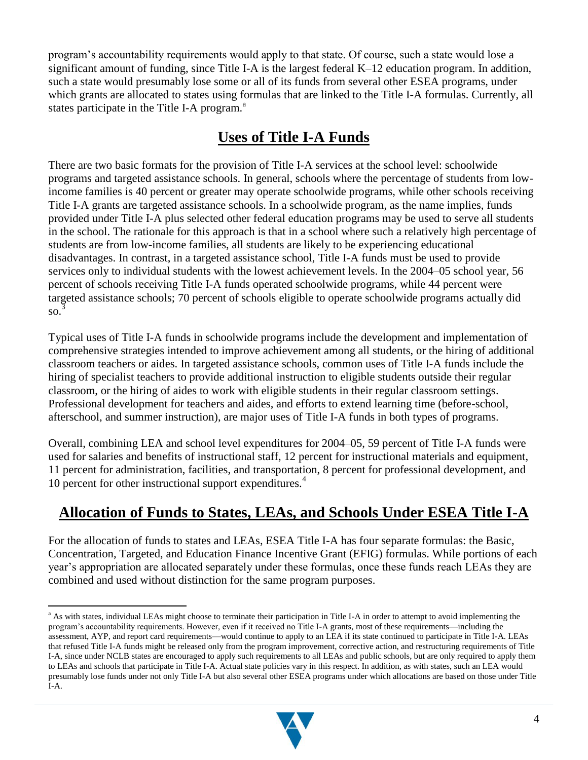program's accountability requirements would apply to that state. Of course, such a state would lose a significant amount of funding, since Title I-A is the largest federal K–12 education program. In addition, such a state would presumably lose some or all of its funds from several other ESEA programs, under which grants are allocated to states using formulas that are linked to the Title I-A formulas. Currently, all states participate in the Title I-A program.<sup>a</sup>

## **Uses of Title I-A Funds**

There are two basic formats for the provision of Title I-A services at the school level: schoolwide programs and targeted assistance schools. In general, schools where the percentage of students from lowincome families is 40 percent or greater may operate schoolwide programs, while other schools receiving Title I-A grants are targeted assistance schools. In a schoolwide program, as the name implies, funds provided under Title I-A plus selected other federal education programs may be used to serve all students in the school. The rationale for this approach is that in a school where such a relatively high percentage of students are from low-income families, all students are likely to be experiencing educational disadvantages. In contrast, in a targeted assistance school, Title I-A funds must be used to provide services only to individual students with the lowest achievement levels. In the 2004–05 school year, 56 percent of schools receiving Title I-A funds operated schoolwide programs, while 44 percent were targeted assistance schools; 70 percent of schools eligible to operate schoolwide programs actually did  $\mathrm{so.}^\mathfrak{Z}$ 

Typical uses of Title I-A funds in schoolwide programs include the development and implementation of comprehensive strategies intended to improve achievement among all students, or the hiring of additional classroom teachers or aides. In targeted assistance schools, common uses of Title I-A funds include the hiring of specialist teachers to provide additional instruction to eligible students outside their regular classroom, or the hiring of aides to work with eligible students in their regular classroom settings. Professional development for teachers and aides, and efforts to extend learning time (before-school, afterschool, and summer instruction), are major uses of Title I-A funds in both types of programs.

Overall, combining LEA and school level expenditures for 2004–05, 59 percent of Title I-A funds were used for salaries and benefits of instructional staff, 12 percent for instructional materials and equipment, 11 percent for administration, facilities, and transportation, 8 percent for professional development, and 10 percent for other instructional support expenditures.<sup>4</sup>

## **Allocation of Funds to States, LEAs, and Schools Under ESEA Title I-A**

For the allocation of funds to states and LEAs, ESEA Title I-A has four separate formulas: the Basic, Concentration, Targeted, and Education Finance Incentive Grant (EFIG) formulas. While portions of each year's appropriation are allocated separately under these formulas, once these funds reach LEAs they are combined and used without distinction for the same program purposes.



<sup>&</sup>lt;sup>a</sup> As with states, individual LEAs might choose to terminate their participation in Title I-A in order to attempt to avoid implementing the program's accountability requirements. However, even if it received no Title I-A grants, most of these requirements—including the assessment, AYP, and report card requirements—would continue to apply to an LEA if its state continued to participate in Title I-A. LEAs that refused Title I-A funds might be released only from the program improvement, corrective action, and restructuring requirements of Title I-A, since under NCLB states are encouraged to apply such requirements to all LEAs and public schools, but are only required to apply them to LEAs and schools that participate in Title I-A. Actual state policies vary in this respect. In addition, as with states, such an LEA would presumably lose funds under not only Title I-A but also several other ESEA programs under which allocations are based on those under Title I-A.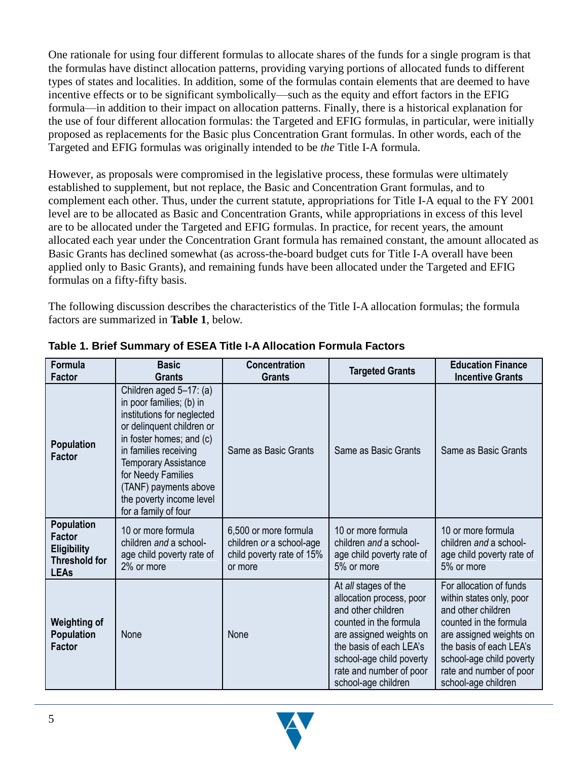One rationale for using four different formulas to allocate shares of the funds for a single program is that the formulas have distinct allocation patterns, providing varying portions of allocated funds to different types of states and localities. In addition, some of the formulas contain elements that are deemed to have incentive effects or to be significant symbolically—such as the equity and effort factors in the EFIG formula—in addition to their impact on allocation patterns. Finally, there is a historical explanation for the use of four different allocation formulas: the Targeted and EFIG formulas, in particular, were initially proposed as replacements for the Basic plus Concentration Grant formulas. In other words, each of the Targeted and EFIG formulas was originally intended to be *the* Title I-A formula.

However, as proposals were compromised in the legislative process, these formulas were ultimately established to supplement, but not replace, the Basic and Concentration Grant formulas, and to complement each other. Thus, under the current statute, appropriations for Title I-A equal to the FY 2001 level are to be allocated as Basic and Concentration Grants, while appropriations in excess of this level are to be allocated under the Targeted and EFIG formulas. In practice, for recent years, the amount allocated each year under the Concentration Grant formula has remained constant, the amount allocated as Basic Grants has declined somewhat (as across-the-board budget cuts for Title I-A overall have been applied only to Basic Grants), and remaining funds have been allocated under the Targeted and EFIG formulas on a fifty-fifty basis.

The following discussion describes the characteristics of the Title I-A allocation formulas; the formula factors are summarized in **Table 1**, below.

| Formula<br><b>Factor</b>                                                                        | <b>Basic</b><br><b>Grants</b>                                                                                                                                                                                                                                                                         | <b>Concentration</b><br><b>Grants</b>                                                     | <b>Targeted Grants</b>                                                                                                                                                                                                               | <b>Education Finance</b><br><b>Incentive Grants</b>                                                                                                                                                                                     |
|-------------------------------------------------------------------------------------------------|-------------------------------------------------------------------------------------------------------------------------------------------------------------------------------------------------------------------------------------------------------------------------------------------------------|-------------------------------------------------------------------------------------------|--------------------------------------------------------------------------------------------------------------------------------------------------------------------------------------------------------------------------------------|-----------------------------------------------------------------------------------------------------------------------------------------------------------------------------------------------------------------------------------------|
| <b>Population</b><br><b>Factor</b>                                                              | Children aged 5-17: (a)<br>in poor families; (b) in<br>institutions for neglected<br>or delinquent children or<br>in foster homes; and (c)<br>in families receiving<br><b>Temporary Assistance</b><br>for Needy Families<br>(TANF) payments above<br>the poverty income level<br>for a family of four | Same as Basic Grants                                                                      | Same as Basic Grants                                                                                                                                                                                                                 | Same as Basic Grants                                                                                                                                                                                                                    |
| <b>Population</b><br><b>Factor</b><br><b>Eligibility</b><br><b>Threshold for</b><br><b>LEAs</b> | 10 or more formula<br>children and a school-<br>age child poverty rate of<br>2% or more                                                                                                                                                                                                               | 6,500 or more formula<br>children or a school-age<br>child poverty rate of 15%<br>or more | 10 or more formula<br>children and a school-<br>age child poverty rate of<br>5% or more                                                                                                                                              | 10 or more formula<br>children and a school-<br>age child poverty rate of<br>5% or more                                                                                                                                                 |
| <b>Weighting of</b><br><b>Population</b><br><b>Factor</b>                                       | None                                                                                                                                                                                                                                                                                                  | None                                                                                      | At all stages of the<br>allocation process, poor<br>and other children<br>counted in the formula<br>are assigned weights on<br>the basis of each LEA's<br>school-age child poverty<br>rate and number of poor<br>school-age children | For allocation of funds<br>within states only, poor<br>and other children<br>counted in the formula<br>are assigned weights on<br>the basis of each LEA's<br>school-age child poverty<br>rate and number of poor<br>school-age children |

#### **Table 1. Brief Summary of ESEA Title I-A Allocation Formula Factors**

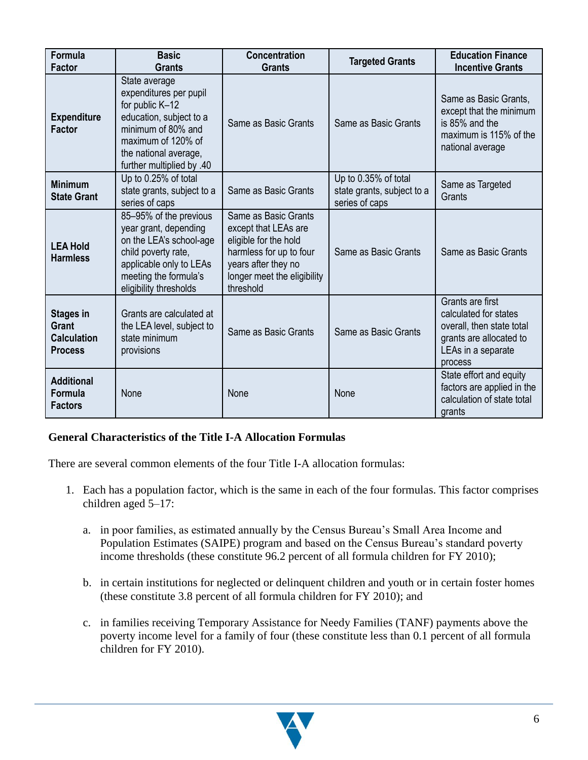| <b>Formula</b><br><b>Factor</b>                                          | <b>Basic</b><br><b>Grants</b>                                                                                                                                                           | <b>Concentration</b><br><b>Grants</b>                                                                                                                               | <b>Targeted Grants</b>                                               | <b>Education Finance</b><br><b>Incentive Grants</b>                                                                                |
|--------------------------------------------------------------------------|-----------------------------------------------------------------------------------------------------------------------------------------------------------------------------------------|---------------------------------------------------------------------------------------------------------------------------------------------------------------------|----------------------------------------------------------------------|------------------------------------------------------------------------------------------------------------------------------------|
| <b>Expenditure</b><br><b>Factor</b>                                      | State average<br>expenditures per pupil<br>for public K-12<br>education, subject to a<br>minimum of 80% and<br>maximum of 120% of<br>the national average,<br>further multiplied by .40 | Same as Basic Grants                                                                                                                                                | Same as Basic Grants                                                 | Same as Basic Grants,<br>except that the minimum<br>is 85% and the<br>maximum is 115% of the<br>national average                   |
| <b>Minimum</b><br><b>State Grant</b>                                     | Up to 0.25% of total<br>state grants, subject to a<br>series of caps                                                                                                                    | Same as Basic Grants                                                                                                                                                | Up to 0.35% of total<br>state grants, subject to a<br>series of caps | Same as Targeted<br>Grants                                                                                                         |
| <b>LEA Hold</b><br><b>Harmless</b>                                       | 85-95% of the previous<br>year grant, depending<br>on the LEA's school-age<br>child poverty rate,<br>applicable only to LEAs<br>meeting the formula's<br>eligibility thresholds         | Same as Basic Grants<br>except that LEAs are<br>eligible for the hold<br>harmless for up to four<br>years after they no<br>longer meet the eligibility<br>threshold | Same as Basic Grants                                                 | Same as Basic Grants                                                                                                               |
| <b>Stages in</b><br><b>Grant</b><br><b>Calculation</b><br><b>Process</b> | Grants are calculated at<br>the LEA level, subject to<br>state minimum<br>provisions                                                                                                    | Same as Basic Grants                                                                                                                                                | Same as Basic Grants                                                 | Grants are first<br>calculated for states<br>overall, then state total<br>grants are allocated to<br>LEAs in a separate<br>process |
| <b>Additional</b><br>Formula<br><b>Factors</b>                           | None                                                                                                                                                                                    | None                                                                                                                                                                | None                                                                 | State effort and equity<br>factors are applied in the<br>calculation of state total<br>grants                                      |

#### **General Characteristics of the Title I-A Allocation Formulas**

There are several common elements of the four Title I-A allocation formulas:

- 1. Each has a population factor, which is the same in each of the four formulas. This factor comprises children aged 5–17:
	- a. in poor families, as estimated annually by the Census Bureau's Small Area Income and Population Estimates (SAIPE) program and based on the Census Bureau's standard poverty income thresholds (these constitute 96.2 percent of all formula children for FY 2010);
	- b. in certain institutions for neglected or delinquent children and youth or in certain foster homes (these constitute 3.8 percent of all formula children for FY 2010); and
	- c. in families receiving Temporary Assistance for Needy Families (TANF) payments above the poverty income level for a family of four (these constitute less than 0.1 percent of all formula children for FY 2010).

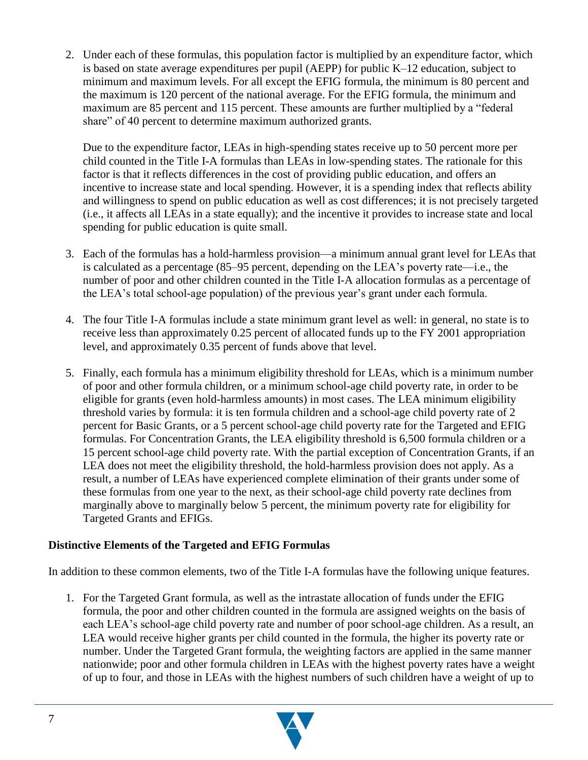2. Under each of these formulas, this population factor is multiplied by an expenditure factor, which is based on state average expenditures per pupil (AEPP) for public K–12 education, subject to minimum and maximum levels. For all except the EFIG formula, the minimum is 80 percent and the maximum is 120 percent of the national average. For the EFIG formula, the minimum and maximum are 85 percent and 115 percent. These amounts are further multiplied by a "federal" share" of 40 percent to determine maximum authorized grants.

Due to the expenditure factor, LEAs in high-spending states receive up to 50 percent more per child counted in the Title I-A formulas than LEAs in low-spending states. The rationale for this factor is that it reflects differences in the cost of providing public education, and offers an incentive to increase state and local spending. However, it is a spending index that reflects ability and willingness to spend on public education as well as cost differences; it is not precisely targeted (i.e., it affects all LEAs in a state equally); and the incentive it provides to increase state and local spending for public education is quite small.

- 3. Each of the formulas has a hold-harmless provision—a minimum annual grant level for LEAs that is calculated as a percentage (85–95 percent, depending on the LEA's poverty rate—i.e., the number of poor and other children counted in the Title I-A allocation formulas as a percentage of the LEA's total school-age population) of the previous year's grant under each formula.
- 4. The four Title I-A formulas include a state minimum grant level as well: in general, no state is to receive less than approximately 0.25 percent of allocated funds up to the FY 2001 appropriation level, and approximately 0.35 percent of funds above that level.
- 5. Finally, each formula has a minimum eligibility threshold for LEAs, which is a minimum number of poor and other formula children, or a minimum school-age child poverty rate, in order to be eligible for grants (even hold-harmless amounts) in most cases. The LEA minimum eligibility threshold varies by formula: it is ten formula children and a school-age child poverty rate of 2 percent for Basic Grants, or a 5 percent school-age child poverty rate for the Targeted and EFIG formulas. For Concentration Grants, the LEA eligibility threshold is 6,500 formula children or a 15 percent school-age child poverty rate. With the partial exception of Concentration Grants, if an LEA does not meet the eligibility threshold, the hold-harmless provision does not apply. As a result, a number of LEAs have experienced complete elimination of their grants under some of these formulas from one year to the next, as their school-age child poverty rate declines from marginally above to marginally below 5 percent, the minimum poverty rate for eligibility for Targeted Grants and EFIGs.

#### **Distinctive Elements of the Targeted and EFIG Formulas**

In addition to these common elements, two of the Title I-A formulas have the following unique features.

1. For the Targeted Grant formula, as well as the intrastate allocation of funds under the EFIG formula, the poor and other children counted in the formula are assigned weights on the basis of each LEA's school-age child poverty rate and number of poor school-age children. As a result, an LEA would receive higher grants per child counted in the formula, the higher its poverty rate or number. Under the Targeted Grant formula, the weighting factors are applied in the same manner nationwide; poor and other formula children in LEAs with the highest poverty rates have a weight of up to four, and those in LEAs with the highest numbers of such children have a weight of up to

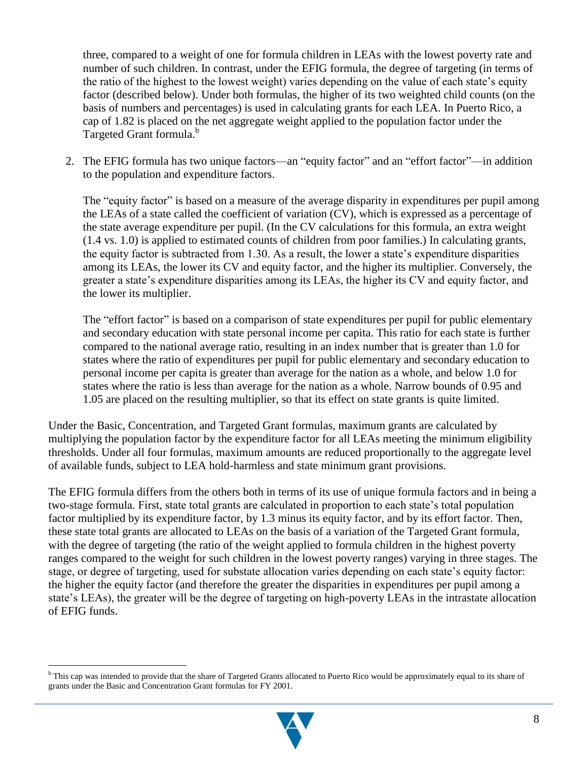three, compared to a weight of one for formula children in LEAs with the lowest poverty rate and number of such children. In contrast, under the EFIG formula, the degree of targeting (in terms of the ratio of the highest to the lowest weight) varies depending on the value of each state's equity factor (described below). Under both formulas, the higher of its two weighted child counts (on the basis of numbers and percentages) is used in calculating grants for each LEA. In Puerto Rico, a cap of 1.82 is placed on the net aggregate weight applied to the population factor under the Targeted Grant formula.<sup>b</sup>

2. The EFIG formula has two unique factors—an "equity factor" and an "effort factor"—in addition to the population and expenditure factors.

The "equity factor" is based on a measure of the average disparity in expenditures per pupil among the LEAs of a state called the coefficient of variation (CV), which is expressed as a percentage of the state average expenditure per pupil. (In the CV calculations for this formula, an extra weight (1.4 vs. 1.0) is applied to estimated counts of children from poor families.) In calculating grants, the equity factor is subtracted from 1.30. As a result, the lower a state's expenditure disparities among its LEAs, the lower its CV and equity factor, and the higher its multiplier. Conversely, the greater a state's expenditure disparities among its LEAs, the higher its CV and equity factor, and the lower its multiplier.

The "effort factor" is based on a comparison of state expenditures per pupil for public elementary and secondary education with state personal income per capita. This ratio for each state is further compared to the national average ratio, resulting in an index number that is greater than 1.0 for states where the ratio of expenditures per pupil for public elementary and secondary education to personal income per capita is greater than average for the nation as a whole, and below 1.0 for states where the ratio is less than average for the nation as a whole. Narrow bounds of 0.95 and 1.05 are placed on the resulting multiplier, so that its effect on state grants is quite limited.

Under the Basic, Concentration, and Targeted Grant formulas, maximum grants are calculated by multiplying the population factor by the expenditure factor for all LEAs meeting the minimum eligibility thresholds. Under all four formulas, maximum amounts are reduced proportionally to the aggregate level of available funds, subject to LEA hold-harmless and state minimum grant provisions.

The EFIG formula differs from the others both in terms of its use of unique formula factors and in being a two-stage formula. First, state total grants are calculated in proportion to each state's total population factor multiplied by its expenditure factor, by 1.3 minus its equity factor, and by its effort factor. Then, these state total grants are allocated to LEAs on the basis of a variation of the Targeted Grant formula, with the degree of targeting (the ratio of the weight applied to formula children in the highest poverty ranges compared to the weight for such children in the lowest poverty ranges) varying in three stages. The stage, or degree of targeting, used for substate allocation varies depending on each state's equity factor: the higher the equity factor (and therefore the greater the disparities in expenditures per pupil among a state's LEAs), the greater will be the degree of targeting on high-poverty LEAs in the intrastate allocation of EFIG funds.



<sup>&</sup>lt;sup>b</sup> This cap was intended to provide that the share of Targeted Grants allocated to Puerto Rico would be approximately equal to its share of grants under the Basic and Concentration Grant formulas for FY 2001.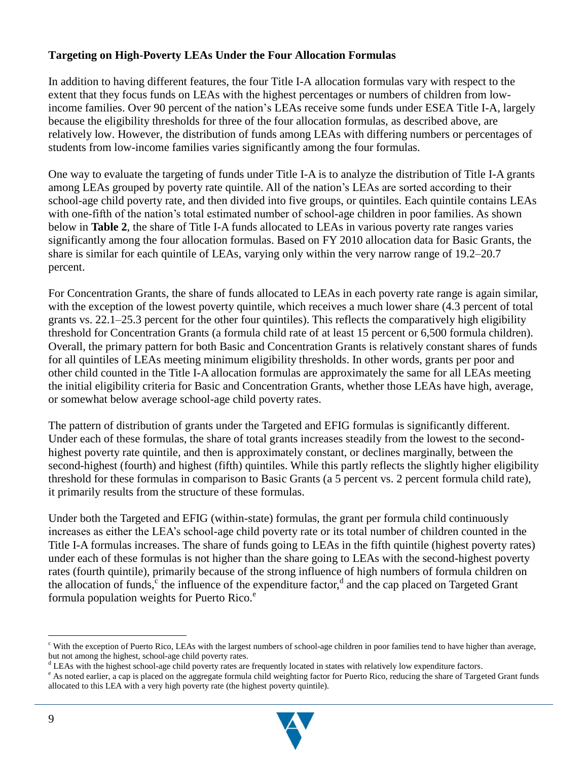#### **Targeting on High-Poverty LEAs Under the Four Allocation Formulas**

In addition to having different features, the four Title I-A allocation formulas vary with respect to the extent that they focus funds on LEAs with the highest percentages or numbers of children from lowincome families. Over 90 percent of the nation's LEAs receive some funds under ESEA Title I-A, largely because the eligibility thresholds for three of the four allocation formulas, as described above, are relatively low. However, the distribution of funds among LEAs with differing numbers or percentages of students from low-income families varies significantly among the four formulas.

One way to evaluate the targeting of funds under Title I-A is to analyze the distribution of Title I-A grants among LEAs grouped by poverty rate quintile. All of the nation's LEAs are sorted according to their school-age child poverty rate, and then divided into five groups, or quintiles. Each quintile contains LEAs with one-fifth of the nation's total estimated number of school-age children in poor families. As shown below in **Table 2**, the share of Title I-A funds allocated to LEAs in various poverty rate ranges varies significantly among the four allocation formulas. Based on FY 2010 allocation data for Basic Grants, the share is similar for each quintile of LEAs, varying only within the very narrow range of 19.2–20.7 percent.

For Concentration Grants, the share of funds allocated to LEAs in each poverty rate range is again similar, with the exception of the lowest poverty quintile, which receives a much lower share (4.3 percent of total grants vs. 22.1–25.3 percent for the other four quintiles). This reflects the comparatively high eligibility threshold for Concentration Grants (a formula child rate of at least 15 percent or 6,500 formula children). Overall, the primary pattern for both Basic and Concentration Grants is relatively constant shares of funds for all quintiles of LEAs meeting minimum eligibility thresholds. In other words, grants per poor and other child counted in the Title I-A allocation formulas are approximately the same for all LEAs meeting the initial eligibility criteria for Basic and Concentration Grants, whether those LEAs have high, average, or somewhat below average school-age child poverty rates.

The pattern of distribution of grants under the Targeted and EFIG formulas is significantly different. Under each of these formulas, the share of total grants increases steadily from the lowest to the secondhighest poverty rate quintile, and then is approximately constant, or declines marginally, between the second-highest (fourth) and highest (fifth) quintiles. While this partly reflects the slightly higher eligibility threshold for these formulas in comparison to Basic Grants (a 5 percent vs. 2 percent formula child rate), it primarily results from the structure of these formulas.

Under both the Targeted and EFIG (within-state) formulas, the grant per formula child continuously increases as either the LEA's school-age child poverty rate or its total number of children counted in the Title I-A formulas increases. The share of funds going to LEAs in the fifth quintile (highest poverty rates) under each of these formulas is not higher than the share going to LEAs with the second-highest poverty rates (fourth quintile), primarily because of the strong influence of high numbers of formula children on the allocation of funds,<sup>c</sup> the influence of the expenditure factor,<sup>d</sup> and the cap placed on Targeted Grant formula population weights for Puerto Rico. $e^e$ 

<sup>&</sup>lt;sup>e</sup> As noted earlier, a cap is placed on the aggregate formula child weighting factor for Puerto Rico, reducing the share of Targeted Grant funds allocated to this LEA with a very high poverty rate (the highest poverty quintile).



<sup>c</sup> With the exception of Puerto Rico, LEAs with the largest numbers of school-age children in poor families tend to have higher than average, but not among the highest, school-age child poverty rates.

<sup>d</sup> LEAs with the highest school-age child poverty rates are frequently located in states with relatively low expenditure factors.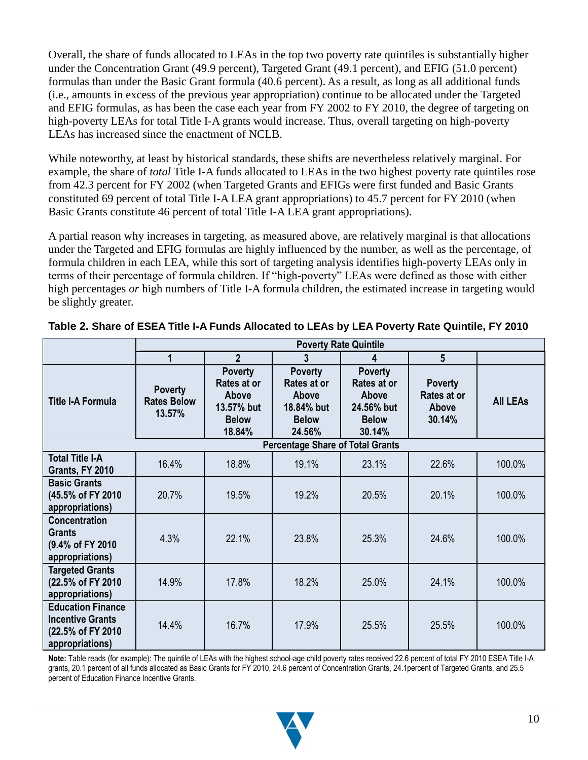Overall, the share of funds allocated to LEAs in the top two poverty rate quintiles is substantially higher under the Concentration Grant (49.9 percent), Targeted Grant (49.1 percent), and EFIG (51.0 percent) formulas than under the Basic Grant formula (40.6 percent). As a result, as long as all additional funds (i.e., amounts in excess of the previous year appropriation) continue to be allocated under the Targeted and EFIG formulas, as has been the case each year from FY 2002 to FY 2010, the degree of targeting on high-poverty LEAs for total Title I-A grants would increase. Thus, overall targeting on high-poverty LEAs has increased since the enactment of NCLB.

While noteworthy, at least by historical standards, these shifts are nevertheless relatively marginal. For example, the share of *total* Title I-A funds allocated to LEAs in the two highest poverty rate quintiles rose from 42.3 percent for FY 2002 (when Targeted Grants and EFIGs were first funded and Basic Grants constituted 69 percent of total Title I-A LEA grant appropriations) to 45.7 percent for FY 2010 (when Basic Grants constitute 46 percent of total Title I-A LEA grant appropriations).

A partial reason why increases in targeting, as measured above, are relatively marginal is that allocations under the Targeted and EFIG formulas are highly influenced by the number, as well as the percentage, of formula children in each LEA, while this sort of targeting analysis identifies high-poverty LEAs only in terms of their percentage of formula children. If "high-poverty" LEAs were defined as those with either high percentages *or* high numbers of Title I-A formula children, the estimated increase in targeting would be slightly greater.

|                                                                                              | <b>Poverty Rate Quintile</b>                   |                                                                                |                                                                                |                                                                                |                                                  |                 |  |  |
|----------------------------------------------------------------------------------------------|------------------------------------------------|--------------------------------------------------------------------------------|--------------------------------------------------------------------------------|--------------------------------------------------------------------------------|--------------------------------------------------|-----------------|--|--|
|                                                                                              |                                                | $\overline{2}$                                                                 | 3                                                                              | 4                                                                              | 5                                                |                 |  |  |
| <b>Title I-A Formula</b>                                                                     | <b>Poverty</b><br><b>Rates Below</b><br>13.57% | <b>Poverty</b><br>Rates at or<br>Above<br>13.57% but<br><b>Below</b><br>18.84% | <b>Poverty</b><br>Rates at or<br>Above<br>18.84% but<br><b>Below</b><br>24.56% | <b>Poverty</b><br>Rates at or<br>Above<br>24.56% but<br><b>Below</b><br>30.14% | <b>Poverty</b><br>Rates at or<br>Above<br>30.14% | <b>All LEAs</b> |  |  |
|                                                                                              |                                                |                                                                                | <b>Percentage Share of Total Grants</b>                                        |                                                                                |                                                  |                 |  |  |
| <b>Total Title I-A</b><br>Grants, FY 2010                                                    | 16.4%                                          | 18.8%                                                                          | 19.1%                                                                          | 23.1%                                                                          | 22.6%                                            | 100.0%          |  |  |
| <b>Basic Grants</b><br>(45.5% of FY 2010<br>appropriations)                                  | 20.7%                                          | 19.5%                                                                          | 19.2%                                                                          | 20.5%                                                                          | 20.1%                                            | 100.0%          |  |  |
| <b>Concentration</b><br><b>Grants</b><br>(9.4% of FY 2010)<br>appropriations)                | 4.3%                                           | 22.1%                                                                          | 23.8%                                                                          | 25.3%                                                                          | 24.6%                                            | 100.0%          |  |  |
| <b>Targeted Grants</b><br>(22.5% of FY 2010<br>appropriations)                               | 14.9%                                          | 17.8%                                                                          | 18.2%                                                                          | 25.0%                                                                          | 24.1%                                            | 100.0%          |  |  |
| <b>Education Finance</b><br><b>Incentive Grants</b><br>(22.5% of FY 2010)<br>appropriations) | 14.4%                                          | 16.7%                                                                          | 17.9%                                                                          | 25.5%                                                                          | 25.5%                                            | 100.0%          |  |  |

| Table 2. Share of ESEA Title I-A Funds Allocated to LEAs by LEA Poverty Rate Quintile, FY 2010 |  |  |
|------------------------------------------------------------------------------------------------|--|--|

**Note:** Table reads (for example): The quintile of LEAs with the highest school-age child poverty rates received 22.6 percent of total FY 2010 ESEA Title I-A grants, 20.1 percent of all funds allocated as Basic Grants for FY 2010, 24.6 percent of Concentration Grants, 24.1percent of Targeted Grants, and 25.5 percent of Education Finance Incentive Grants.

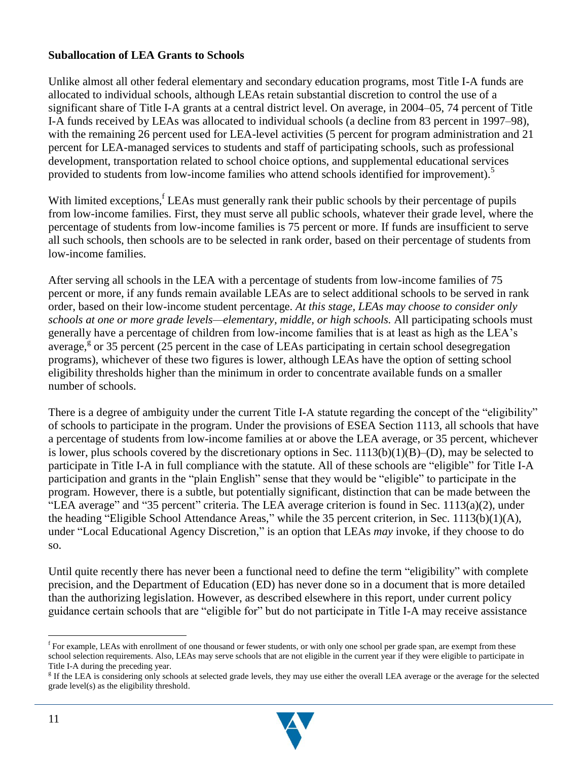#### **Suballocation of LEA Grants to Schools**

Unlike almost all other federal elementary and secondary education programs, most Title I-A funds are allocated to individual schools, although LEAs retain substantial discretion to control the use of a significant share of Title I-A grants at a central district level. On average, in 2004–05, 74 percent of Title I-A funds received by LEAs was allocated to individual schools (a decline from 83 percent in 1997–98), with the remaining 26 percent used for LEA-level activities (5 percent for program administration and 21 percent for LEA-managed services to students and staff of participating schools, such as professional development, transportation related to school choice options, and supplemental educational services provided to students from low-income families who attend schools identified for improvement).<sup>5</sup>

With limited exceptions,<sup>f</sup> LEAs must generally rank their public schools by their percentage of pupils from low-income families. First, they must serve all public schools, whatever their grade level, where the percentage of students from low-income families is 75 percent or more. If funds are insufficient to serve all such schools, then schools are to be selected in rank order, based on their percentage of students from low-income families.

After serving all schools in the LEA with a percentage of students from low-income families of 75 percent or more, if any funds remain available LEAs are to select additional schools to be served in rank order, based on their low-income student percentage. *At this stage, LEAs may choose to consider only schools at one or more grade levels—elementary, middle, or high schools.* All participating schools must generally have a percentage of children from low-income families that is at least as high as the LEA's average,<sup>8</sup> or 35 percent (25 percent in the case of LEAs participating in certain school desegregation programs), whichever of these two figures is lower, although LEAs have the option of setting school eligibility thresholds higher than the minimum in order to concentrate available funds on a smaller number of schools.

There is a degree of ambiguity under the current Title I-A statute regarding the concept of the "eligibility" of schools to participate in the program. Under the provisions of ESEA Section 1113, all schools that have a percentage of students from low-income families at or above the LEA average, or 35 percent, whichever is lower, plus schools covered by the discretionary options in Sec.  $1113(b)(1)(B)$ –(D), may be selected to participate in Title I-A in full compliance with the statute. All of these schools are "eligible" for Title I-A participation and grants in the "plain English" sense that they would be "eligible" to participate in the program. However, there is a subtle, but potentially significant, distinction that can be made between the "LEA average" and "35 percent" criteria. The LEA average criterion is found in Sec.  $1113(a)(2)$ , under the heading "Eligible School Attendance Areas," while the 35 percent criterion, in Sec. 1113(b)(1)(A), under "Local Educational Agency Discretion," is an option that LEAs *may* invoke, if they choose to do so.

Until quite recently there has never been a functional need to define the term "eligibility" with complete precision, and the Department of Education (ED) has never done so in a document that is more detailed than the authorizing legislation. However, as described elsewhere in this report, under current policy guidance certain schools that are "eligible for" but do not participate in Title I-A may receive assistance

<sup>&</sup>lt;sup>g</sup> If the LEA is considering only schools at selected grade levels, they may use either the overall LEA average or the average for the selected grade level(s) as the eligibility threshold.



<sup>&</sup>lt;sup>f</sup> For example, LEAs with enrollment of one thousand or fewer students, or with only one school per grade span, are exempt from these school selection requirements. Also, LEAs may serve schools that are not eligible in the current year if they were eligible to participate in Title I-A during the preceding year.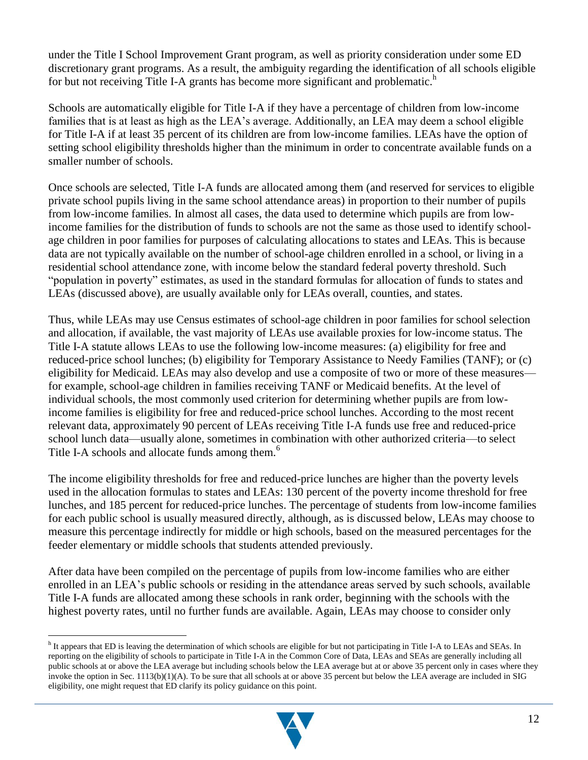under the Title I School Improvement Grant program, as well as priority consideration under some ED discretionary grant programs. As a result, the ambiguity regarding the identification of all schools eligible for but not receiving Title I-A grants has become more significant and problematic.<sup>h</sup>

Schools are automatically eligible for Title I-A if they have a percentage of children from low-income families that is at least as high as the LEA's average. Additionally, an LEA may deem a school eligible for Title I-A if at least 35 percent of its children are from low-income families. LEAs have the option of setting school eligibility thresholds higher than the minimum in order to concentrate available funds on a smaller number of schools.

Once schools are selected, Title I-A funds are allocated among them (and reserved for services to eligible private school pupils living in the same school attendance areas) in proportion to their number of pupils from low-income families. In almost all cases, the data used to determine which pupils are from lowincome families for the distribution of funds to schools are not the same as those used to identify schoolage children in poor families for purposes of calculating allocations to states and LEAs. This is because data are not typically available on the number of school-age children enrolled in a school, or living in a residential school attendance zone, with income below the standard federal poverty threshold. Such "population in poverty" estimates, as used in the standard formulas for allocation of funds to states and LEAs (discussed above), are usually available only for LEAs overall, counties, and states.

Thus, while LEAs may use Census estimates of school-age children in poor families for school selection and allocation, if available, the vast majority of LEAs use available proxies for low-income status. The Title I-A statute allows LEAs to use the following low-income measures: (a) eligibility for free and reduced-price school lunches; (b) eligibility for Temporary Assistance to Needy Families (TANF); or (c) eligibility for Medicaid. LEAs may also develop and use a composite of two or more of these measures for example, school-age children in families receiving TANF or Medicaid benefits. At the level of individual schools, the most commonly used criterion for determining whether pupils are from lowincome families is eligibility for free and reduced-price school lunches. According to the most recent relevant data, approximately 90 percent of LEAs receiving Title I-A funds use free and reduced-price school lunch data—usually alone, sometimes in combination with other authorized criteria—to select Title I-A schools and allocate funds among them.<sup>6</sup>

The income eligibility thresholds for free and reduced-price lunches are higher than the poverty levels used in the allocation formulas to states and LEAs: 130 percent of the poverty income threshold for free lunches, and 185 percent for reduced-price lunches. The percentage of students from low-income families for each public school is usually measured directly, although, as is discussed below, LEAs may choose to measure this percentage indirectly for middle or high schools, based on the measured percentages for the feeder elementary or middle schools that students attended previously.

After data have been compiled on the percentage of pupils from low-income families who are either enrolled in an LEA's public schools or residing in the attendance areas served by such schools, available Title I-A funds are allocated among these schools in rank order, beginning with the schools with the highest poverty rates, until no further funds are available. Again, LEAs may choose to consider only



<sup>&</sup>lt;sup>h</sup> It appears that ED is leaving the determination of which schools are eligible for but not participating in Title I-A to LEAs and SEAs. In reporting on the eligibility of schools to participate in Title I-A in the Common Core of Data, LEAs and SEAs are generally including all public schools at or above the LEA average but including schools below the LEA average but at or above 35 percent only in cases where they invoke the option in Sec. 1113(b)(1)(A). To be sure that all schools at or above 35 percent but below the LEA average are included in SIG eligibility, one might request that ED clarify its policy guidance on this point.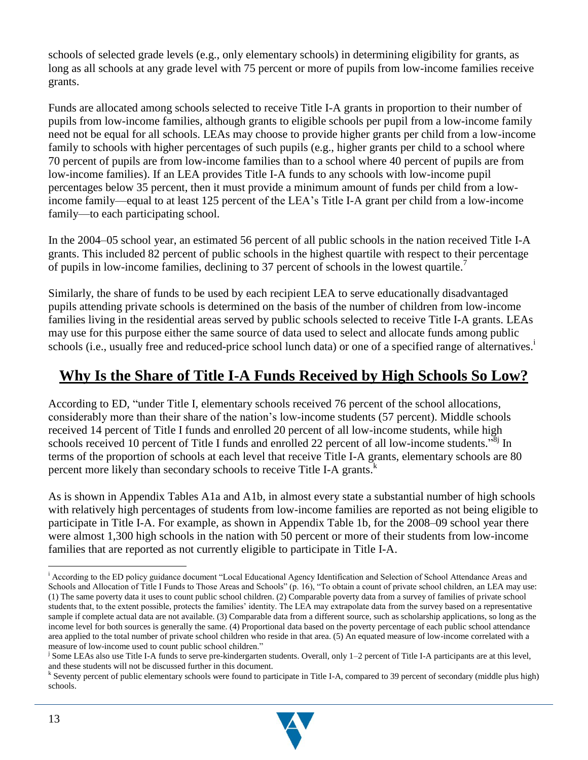schools of selected grade levels (e.g., only elementary schools) in determining eligibility for grants, as long as all schools at any grade level with 75 percent or more of pupils from low-income families receive grants.

Funds are allocated among schools selected to receive Title I-A grants in proportion to their number of pupils from low-income families, although grants to eligible schools per pupil from a low-income family need not be equal for all schools. LEAs may choose to provide higher grants per child from a low-income family to schools with higher percentages of such pupils (e.g., higher grants per child to a school where 70 percent of pupils are from low-income families than to a school where 40 percent of pupils are from low-income families). If an LEA provides Title I-A funds to any schools with low-income pupil percentages below 35 percent, then it must provide a minimum amount of funds per child from a lowincome family—equal to at least 125 percent of the LEA's Title I-A grant per child from a low-income family—to each participating school.

In the 2004–05 school year, an estimated 56 percent of all public schools in the nation received Title I-A grants. This included 82 percent of public schools in the highest quartile with respect to their percentage of pupils in low-income families, declining to 37 percent of schools in the lowest quartile.<sup>7</sup>

Similarly, the share of funds to be used by each recipient LEA to serve educationally disadvantaged pupils attending private schools is determined on the basis of the number of children from low-income families living in the residential areas served by public schools selected to receive Title I-A grants. LEAs may use for this purpose either the same source of data used to select and allocate funds among public schools (i.e., usually free and reduced-price school lunch data) or one of a specified range of alternatives.<sup>1</sup>

## **Why Is the Share of Title I-A Funds Received by High Schools So Low?**

According to ED, "under Title I, elementary schools received 76 percent of the school allocations, considerably more than their share of the nation's low-income students (57 percent). Middle schools received 14 percent of Title I funds and enrolled 20 percent of all low-income students, while high schools received 10 percent of Title I funds and enrolled 22 percent of all low-income students.<sup>38j</sup> In terms of the proportion of schools at each level that receive Title I-A grants, elementary schools are 80 percent more likely than secondary schools to receive Title I-A grants.<sup>k</sup>

As is shown in Appendix Tables A1a and A1b, in almost every state a substantial number of high schools with relatively high percentages of students from low-income families are reported as not being eligible to participate in Title I-A. For example, as shown in Appendix Table 1b, for the 2008–09 school year there were almost 1,300 high schools in the nation with 50 percent or more of their students from low-income families that are reported as not currently eligible to participate in Title I-A.

<sup>&</sup>lt;sup>k</sup> Seventy percent of public elementary schools were found to participate in Title I-A, compared to 39 percent of secondary (middle plus high) schools.



 $\overline{a}$ <sup>i</sup> According to the ED policy guidance document "Local Educational Agency Identification and Selection of School Attendance Areas and Schools and Allocation of Title I Funds to Those Areas and Schools" (p. 16), "To obtain a count of private school children, an LEA may use: (1) The same poverty data it uses to count public school children. (2) Comparable poverty data from a survey of families of private school students that, to the extent possible, protects the families' identity. The LEA may extrapolate data from the survey based on a representative sample if complete actual data are not available. (3) Comparable data from a different source, such as scholarship applications, so long as the income level for both sources is generally the same. (4) Proportional data based on the poverty percentage of each public school attendance area applied to the total number of private school children who reside in that area. (5) An equated measure of low-income correlated with a measure of low-income used to count public school children."

j Some LEAs also use Title I-A funds to serve pre-kindergarten students. Overall, only 1–2 percent of Title I-A participants are at this level, and these students will not be discussed further in this document.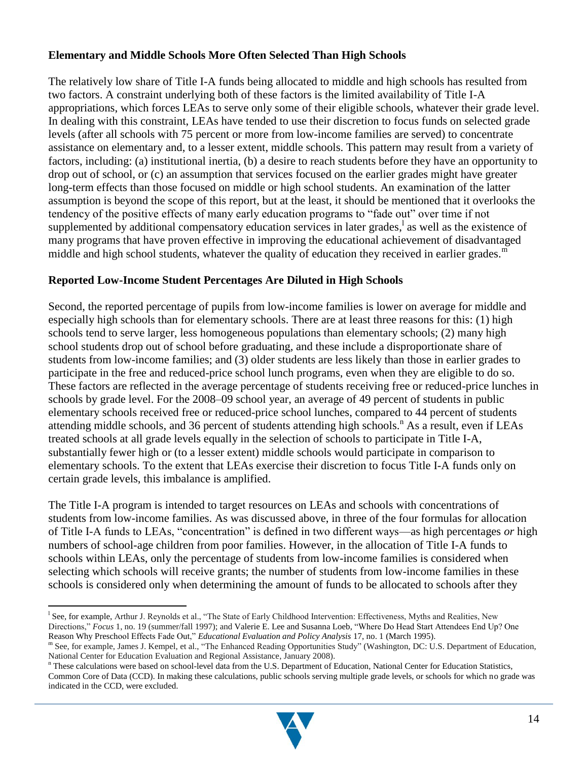#### **Elementary and Middle Schools More Often Selected Than High Schools**

The relatively low share of Title I-A funds being allocated to middle and high schools has resulted from two factors. A constraint underlying both of these factors is the limited availability of Title I-A appropriations, which forces LEAs to serve only some of their eligible schools, whatever their grade level. In dealing with this constraint, LEAs have tended to use their discretion to focus funds on selected grade levels (after all schools with 75 percent or more from low-income families are served) to concentrate assistance on elementary and, to a lesser extent, middle schools. This pattern may result from a variety of factors, including: (a) institutional inertia, (b) a desire to reach students before they have an opportunity to drop out of school, or (c) an assumption that services focused on the earlier grades might have greater long-term effects than those focused on middle or high school students. An examination of the latter assumption is beyond the scope of this report, but at the least, it should be mentioned that it overlooks the tendency of the positive effects of many early education programs to "fade out" over time if not supplemented by additional compensatory education services in later grades,<sup>1</sup> as well as the existence of many programs that have proven effective in improving the educational achievement of disadvantaged middle and high school students, whatever the quality of education they received in earlier grades.<sup>m</sup>

#### **Reported Low-Income Student Percentages Are Diluted in High Schools**

Second, the reported percentage of pupils from low-income families is lower on average for middle and especially high schools than for elementary schools. There are at least three reasons for this: (1) high schools tend to serve larger, less homogeneous populations than elementary schools; (2) many high school students drop out of school before graduating, and these include a disproportionate share of students from low-income families; and (3) older students are less likely than those in earlier grades to participate in the free and reduced-price school lunch programs, even when they are eligible to do so. These factors are reflected in the average percentage of students receiving free or reduced-price lunches in schools by grade level. For the 2008–09 school year, an average of 49 percent of students in public elementary schools received free or reduced-price school lunches, compared to 44 percent of students attending middle schools, and 36 percent of students attending high schools.<sup>n</sup> As a result, even if LEAs treated schools at all grade levels equally in the selection of schools to participate in Title I-A, substantially fewer high or (to a lesser extent) middle schools would participate in comparison to elementary schools. To the extent that LEAs exercise their discretion to focus Title I-A funds only on certain grade levels, this imbalance is amplified.

The Title I-A program is intended to target resources on LEAs and schools with concentrations of students from low-income families. As was discussed above, in three of the four formulas for allocation of Title I-A funds to LEAs, "concentration" is defined in two different ways—as high percentages *or* high numbers of school-age children from poor families. However, in the allocation of Title I-A funds to schools within LEAs, only the percentage of students from low-income families is considered when selecting which schools will receive grants; the number of students from low-income families in these schools is considered only when determining the amount of funds to be allocated to schools after they

<sup>n</sup> These calculations were based on school-level data from the U.S. Department of Education, National Center for Education Statistics, Common Core of Data (CCD). In making these calculations, public schools serving multiple grade levels, or schools for which no grade was indicated in the CCD, were excluded.



<sup>&</sup>lt;sup>1</sup> See, for example, Arthur J. Reynolds et al., "The State of Early Childhood Intervention: Effectiveness, Myths and Realities, New Directions," *Focus* 1, no. 19 (summer/fall 1997); and Valerie E. Lee and Susanna Loeb, "Where Do Head Start Attendees End Up? One Reason Why Preschool Effects Fade Out," *Educational Evaluation and Policy Analysis* 17, no. 1 (March 1995).

m See, for example, James J. Kempel, et al., "The Enhanced Reading Opportunities Study" (Washington, DC: U.S. Department of Education, National Center for Education Evaluation and Regional Assistance, January 2008).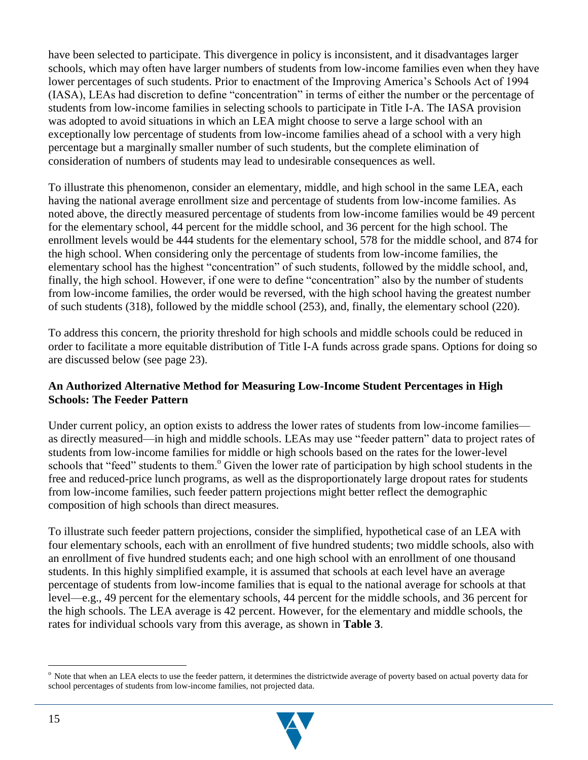have been selected to participate. This divergence in policy is inconsistent, and it disadvantages larger schools, which may often have larger numbers of students from low-income families even when they have lower percentages of such students. Prior to enactment of the Improving America's Schools Act of 1994 (IASA), LEAs had discretion to define "concentration" in terms of either the number or the percentage of students from low-income families in selecting schools to participate in Title I-A. The IASA provision was adopted to avoid situations in which an LEA might choose to serve a large school with an exceptionally low percentage of students from low-income families ahead of a school with a very high percentage but a marginally smaller number of such students, but the complete elimination of consideration of numbers of students may lead to undesirable consequences as well.

To illustrate this phenomenon, consider an elementary, middle, and high school in the same LEA, each having the national average enrollment size and percentage of students from low-income families. As noted above, the directly measured percentage of students from low-income families would be 49 percent for the elementary school, 44 percent for the middle school, and 36 percent for the high school. The enrollment levels would be 444 students for the elementary school, 578 for the middle school, and 874 for the high school. When considering only the percentage of students from low-income families, the elementary school has the highest "concentration" of such students, followed by the middle school, and, finally, the high school. However, if one were to define "concentration" also by the number of students from low-income families, the order would be reversed, with the high school having the greatest number of such students (318), followed by the middle school (253), and, finally, the elementary school (220).

To address this concern, the priority threshold for high schools and middle schools could be reduced in order to facilitate a more equitable distribution of Title I-A funds across grade spans. Options for doing so are discussed below (see page 23).

#### **An Authorized Alternative Method for Measuring Low-Income Student Percentages in High Schools: The Feeder Pattern**

Under current policy, an option exists to address the lower rates of students from low-income families as directly measured—in high and middle schools. LEAs may use "feeder pattern" data to project rates of students from low-income families for middle or high schools based on the rates for the lower-level schools that "feed" students to them.<sup>o</sup> Given the lower rate of participation by high school students in the free and reduced-price lunch programs, as well as the disproportionately large dropout rates for students from low-income families, such feeder pattern projections might better reflect the demographic composition of high schools than direct measures.

To illustrate such feeder pattern projections, consider the simplified, hypothetical case of an LEA with four elementary schools, each with an enrollment of five hundred students; two middle schools, also with an enrollment of five hundred students each; and one high school with an enrollment of one thousand students. In this highly simplified example, it is assumed that schools at each level have an average percentage of students from low-income families that is equal to the national average for schools at that level—e.g., 49 percent for the elementary schools, 44 percent for the middle schools, and 36 percent for the high schools. The LEA average is 42 percent. However, for the elementary and middle schools, the rates for individual schools vary from this average, as shown in **Table 3**.

<sup>&</sup>lt;sup>o</sup> Note that when an LEA elects to use the feeder pattern, it determines the districtwide average of poverty based on actual poverty data for school percentages of students from low-income families, not projected data.

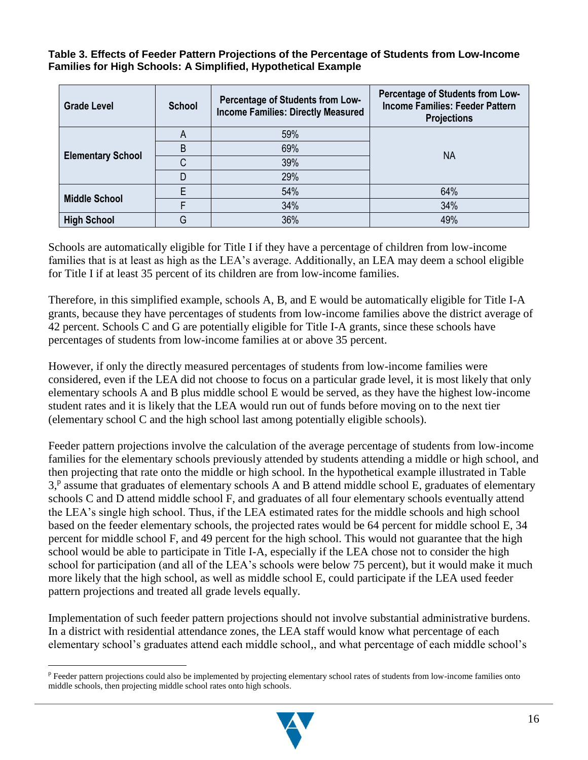**Table 3. Effects of Feeder Pattern Projections of the Percentage of Students from Low-Income Families for High Schools: A Simplified, Hypothetical Example**

| <b>Grade Level</b>       | <b>School</b> | Percentage of Students from Low-<br><b>Income Families: Directly Measured</b> | Percentage of Students from Low-<br><b>Income Families: Feeder Pattern</b><br><b>Projections</b> |
|--------------------------|---------------|-------------------------------------------------------------------------------|--------------------------------------------------------------------------------------------------|
|                          | A             | 59%                                                                           |                                                                                                  |
|                          | B             | 69%                                                                           | NA                                                                                               |
| <b>Elementary School</b> | ⌒             | 39%                                                                           |                                                                                                  |
|                          |               | 29%                                                                           |                                                                                                  |
|                          |               | 54%                                                                           | 64%                                                                                              |
| <b>Middle School</b>     |               | 34%                                                                           | 34%                                                                                              |
| <b>High School</b>       | G             | 36%                                                                           | 49%                                                                                              |

Schools are automatically eligible for Title I if they have a percentage of children from low-income families that is at least as high as the LEA's average. Additionally, an LEA may deem a school eligible for Title I if at least 35 percent of its children are from low-income families.

Therefore, in this simplified example, schools A, B, and E would be automatically eligible for Title I-A grants, because they have percentages of students from low-income families above the district average of 42 percent. Schools C and G are potentially eligible for Title I-A grants, since these schools have percentages of students from low-income families at or above 35 percent.

However, if only the directly measured percentages of students from low-income families were considered, even if the LEA did not choose to focus on a particular grade level, it is most likely that only elementary schools A and B plus middle school E would be served, as they have the highest low-income student rates and it is likely that the LEA would run out of funds before moving on to the next tier (elementary school C and the high school last among potentially eligible schools).

Feeder pattern projections involve the calculation of the average percentage of students from low-income families for the elementary schools previously attended by students attending a middle or high school, and then projecting that rate onto the middle or high school. In the hypothetical example illustrated in Table 3,<sup>p</sup> assume that graduates of elementary schools A and B attend middle school E, graduates of elementary schools C and D attend middle school F, and graduates of all four elementary schools eventually attend the LEA's single high school. Thus, if the LEA estimated rates for the middle schools and high school based on the feeder elementary schools, the projected rates would be 64 percent for middle school E, 34 percent for middle school F, and 49 percent for the high school. This would not guarantee that the high school would be able to participate in Title I-A, especially if the LEA chose not to consider the high school for participation (and all of the LEA's schools were below 75 percent), but it would make it much more likely that the high school, as well as middle school E, could participate if the LEA used feeder pattern projections and treated all grade levels equally.

Implementation of such feeder pattern projections should not involve substantial administrative burdens. In a district with residential attendance zones, the LEA staff would know what percentage of each elementary school's graduates attend each middle school,, and what percentage of each middle school's



<sup>&</sup>lt;sup>p</sup> Feeder pattern projections could also be implemented by projecting elementary school rates of students from low-income families onto middle schools, then projecting middle school rates onto high schools.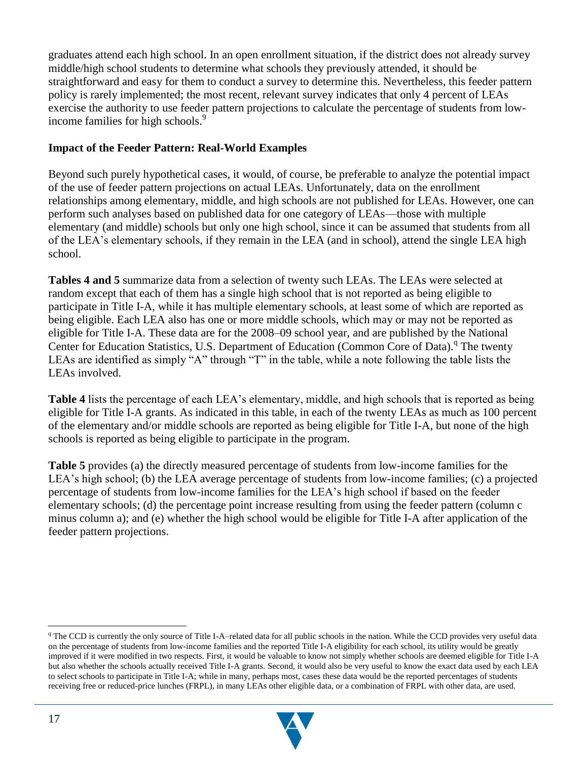graduates attend each high school. In an open enrollment situation, if the district does not already survey middle/high school students to determine what schools they previously attended, it should be straightforward and easy for them to conduct a survey to determine this. Nevertheless, this feeder pattern policy is rarely implemented; the most recent, relevant survey indicates that only 4 percent of LEAs exercise the authority to use feeder pattern projections to calculate the percentage of students from lowincome families for high schools.<sup>9</sup>

#### **Impact of the Feeder Pattern: Real-World Examples**

Beyond such purely hypothetical cases, it would, of course, be preferable to analyze the potential impact of the use of feeder pattern projections on actual LEAs. Unfortunately, data on the enrollment relationships among elementary, middle, and high schools are not published for LEAs. However, one can perform such analyses based on published data for one category of LEAs—those with multiple elementary (and middle) schools but only one high school, since it can be assumed that students from all of the LEA's elementary schools, if they remain in the LEA (and in school), attend the single LEA high school.

**Tables 4 and 5** summarize data from a selection of twenty such LEAs. The LEAs were selected at random except that each of them has a single high school that is not reported as being eligible to participate in Title I-A, while it has multiple elementary schools, at least some of which are reported as being eligible. Each LEA also has one or more middle schools, which may or may not be reported as eligible for Title I-A. These data are for the 2008–09 school year, and are published by the National Center for Education Statistics, U.S. Department of Education (Common Core of Data).<sup>q</sup> The twenty LEAs are identified as simply "A" through "T" in the table, while a note following the table lists the LEAs involved.

**Table 4** lists the percentage of each LEA's elementary, middle, and high schools that is reported as being eligible for Title I-A grants. As indicated in this table, in each of the twenty LEAs as much as 100 percent of the elementary and/or middle schools are reported as being eligible for Title I-A, but none of the high schools is reported as being eligible to participate in the program.

**Table 5** provides (a) the directly measured percentage of students from low-income families for the LEA's high school; (b) the LEA average percentage of students from low-income families; (c) a projected percentage of students from low-income families for the LEA's high school if based on the feeder elementary schools; (d) the percentage point increase resulting from using the feeder pattern (column c minus column a); and (e) whether the high school would be eligible for Title I-A after application of the feeder pattern projections.

<sup>&</sup>lt;sup>q</sup> The CCD is currently the only source of Title I-A–related data for all public schools in the nation. While the CCD provides very useful data on the percentage of students from low-income families and the reported Title I-A eligibility for each school, its utility would be greatly improved if it were modified in two respects. First, it would be valuable to know not simply whether schools are deemed eligible for Title I-A but also whether the schools actually received Title I-A grants. Second, it would also be very useful to know the exact data used by each LEA to select schools to participate in Title I-A; while in many, perhaps most, cases these data would be the reported percentages of students receiving free or reduced-price lunches (FRPL), in many LEAs other eligible data, or a combination of FRPL with other data, are used.

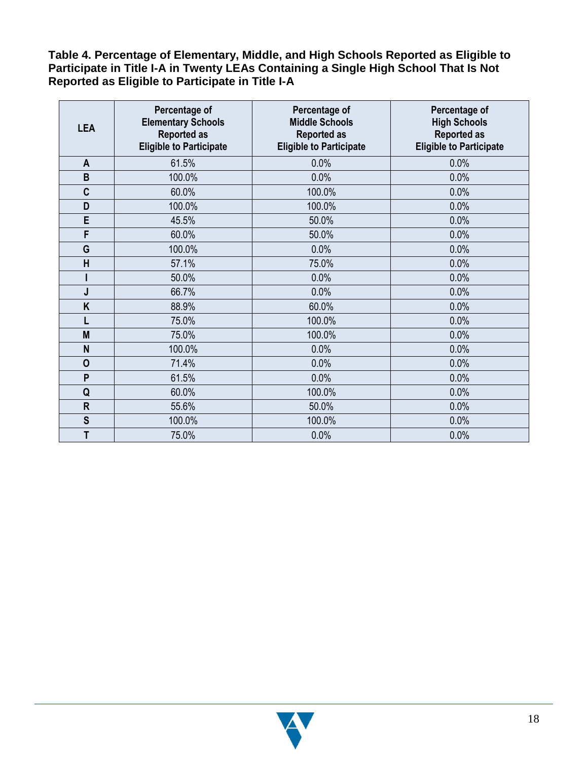**Table 4. Percentage of Elementary, Middle, and High Schools Reported as Eligible to Participate in Title I-A in Twenty LEAs Containing a Single High School That Is Not Reported as Eligible to Participate in Title I-A**

| <b>LEA</b>   | <b>Percentage of</b><br><b>Elementary Schools</b><br><b>Reported as</b><br><b>Eligible to Participate</b> | Percentage of<br><b>Middle Schools</b><br><b>Reported as</b><br><b>Eligible to Participate</b> | Percentage of<br><b>High Schools</b><br><b>Reported as</b><br><b>Eligible to Participate</b> |  |  |
|--------------|-----------------------------------------------------------------------------------------------------------|------------------------------------------------------------------------------------------------|----------------------------------------------------------------------------------------------|--|--|
| A            | 61.5%                                                                                                     | 0.0%                                                                                           | 0.0%                                                                                         |  |  |
| B            | 100.0%                                                                                                    | 0.0%                                                                                           | 0.0%                                                                                         |  |  |
| $\mathbf c$  | 60.0%                                                                                                     | 100.0%                                                                                         | 0.0%                                                                                         |  |  |
| D            | 100.0%                                                                                                    | 100.0%                                                                                         | 0.0%                                                                                         |  |  |
| E            | 45.5%                                                                                                     | 50.0%                                                                                          | 0.0%                                                                                         |  |  |
| F            | 60.0%                                                                                                     | 50.0%                                                                                          | 0.0%                                                                                         |  |  |
| G            | 100.0%                                                                                                    | 0.0%                                                                                           | 0.0%                                                                                         |  |  |
| H            | 57.1%                                                                                                     | 75.0%                                                                                          | 0.0%                                                                                         |  |  |
|              | 50.0%                                                                                                     | 0.0%                                                                                           | 0.0%                                                                                         |  |  |
| J            | 66.7%                                                                                                     | 0.0%                                                                                           | 0.0%                                                                                         |  |  |
| K            | 88.9%                                                                                                     | 60.0%                                                                                          | 0.0%                                                                                         |  |  |
| L            | 75.0%                                                                                                     | 100.0%                                                                                         | 0.0%                                                                                         |  |  |
| M            | 75.0%                                                                                                     | 100.0%                                                                                         | 0.0%                                                                                         |  |  |
| N            | 100.0%                                                                                                    | 0.0%                                                                                           | 0.0%                                                                                         |  |  |
| $\mathbf 0$  | 71.4%                                                                                                     | 0.0%                                                                                           | 0.0%                                                                                         |  |  |
| P            | 61.5%                                                                                                     | 0.0%                                                                                           | 0.0%                                                                                         |  |  |
| Q            | 60.0%                                                                                                     | 100.0%                                                                                         | 0.0%                                                                                         |  |  |
| $\mathsf{R}$ | 55.6%                                                                                                     | 50.0%                                                                                          | 0.0%                                                                                         |  |  |
| $\mathbf S$  | 100.0%                                                                                                    | 100.0%                                                                                         | 0.0%                                                                                         |  |  |
| T            | 75.0%                                                                                                     | 0.0%                                                                                           | 0.0%                                                                                         |  |  |

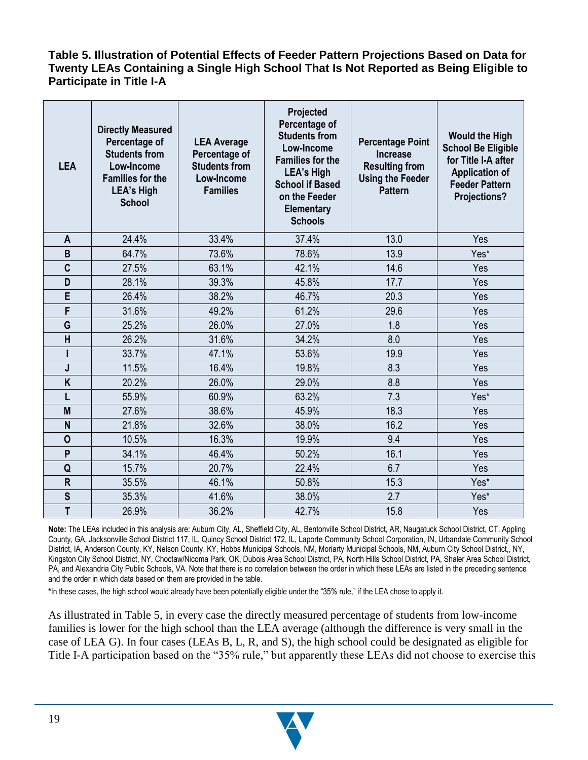#### **Table 5. Illustration of Potential Effects of Feeder Pattern Projections Based on Data for Twenty LEAs Containing a Single High School That Is Not Reported as Being Eligible to Participate in Title I-A**

| <b>LEA</b>              | <b>Directly Measured</b><br>Percentage of<br><b>LEA Average</b><br><b>Students from</b><br>Percentage of<br>Low-Income<br><b>Students from</b><br><b>Families for the</b><br>Low-Income<br><b>LEA's High</b><br><b>Families</b><br><b>School</b><br>24.4%<br>A |       | Projected<br>Percentage of<br><b>Students from</b><br>Low-Income<br><b>Families for the</b><br><b>LEA's High</b><br><b>School if Based</b><br>on the Feeder<br><b>Elementary</b><br><b>Schools</b> | <b>Percentage Point</b><br><b>Increase</b><br><b>Resulting from</b><br><b>Using the Feeder</b><br><b>Pattern</b> | <b>Would the High</b><br><b>School Be Eligible</b><br>for Title I-A after<br><b>Application of</b><br><b>Feeder Pattern</b><br><b>Projections?</b> |
|-------------------------|----------------------------------------------------------------------------------------------------------------------------------------------------------------------------------------------------------------------------------------------------------------|-------|----------------------------------------------------------------------------------------------------------------------------------------------------------------------------------------------------|------------------------------------------------------------------------------------------------------------------|----------------------------------------------------------------------------------------------------------------------------------------------------|
|                         |                                                                                                                                                                                                                                                                | 33.4% | 37.4%                                                                                                                                                                                              | 13.0                                                                                                             | Yes                                                                                                                                                |
| B                       | 64.7%                                                                                                                                                                                                                                                          | 73.6% | 78.6%                                                                                                                                                                                              | 13.9                                                                                                             | Yes*                                                                                                                                               |
| C                       | 27.5%                                                                                                                                                                                                                                                          | 63.1% | 42.1%                                                                                                                                                                                              | 14.6                                                                                                             | Yes                                                                                                                                                |
| D                       | 28.1%                                                                                                                                                                                                                                                          | 39.3% | 45.8%                                                                                                                                                                                              | 17.7                                                                                                             | Yes                                                                                                                                                |
| E                       | 26.4%                                                                                                                                                                                                                                                          | 38.2% | 46.7%                                                                                                                                                                                              | 20.3                                                                                                             | Yes                                                                                                                                                |
| F                       | 31.6%                                                                                                                                                                                                                                                          | 49.2% | 61.2%                                                                                                                                                                                              | 29.6                                                                                                             | Yes                                                                                                                                                |
| G                       | 25.2%                                                                                                                                                                                                                                                          | 26.0% | 27.0%                                                                                                                                                                                              | 1.8                                                                                                              | Yes                                                                                                                                                |
| H                       | 26.2%                                                                                                                                                                                                                                                          | 31.6% | 34.2%                                                                                                                                                                                              | 8.0                                                                                                              | Yes                                                                                                                                                |
|                         | 33.7%                                                                                                                                                                                                                                                          | 47.1% | 53.6%                                                                                                                                                                                              | 19.9                                                                                                             | Yes                                                                                                                                                |
| J                       | 11.5%                                                                                                                                                                                                                                                          | 16.4% | 19.8%                                                                                                                                                                                              | 8.3                                                                                                              | Yes                                                                                                                                                |
| K                       | 20.2%                                                                                                                                                                                                                                                          | 26.0% | 29.0%                                                                                                                                                                                              | 8.8                                                                                                              | Yes                                                                                                                                                |
|                         | 55.9%                                                                                                                                                                                                                                                          | 60.9% | 63.2%                                                                                                                                                                                              | 7.3                                                                                                              | Yes*                                                                                                                                               |
| M                       | 27.6%                                                                                                                                                                                                                                                          | 38.6% | 45.9%                                                                                                                                                                                              | 18.3                                                                                                             | Yes                                                                                                                                                |
| N                       | 21.8%                                                                                                                                                                                                                                                          | 32.6% | 38.0%                                                                                                                                                                                              | 16.2                                                                                                             | Yes                                                                                                                                                |
| $\mathbf 0$             | 10.5%                                                                                                                                                                                                                                                          | 16.3% | 19.9%                                                                                                                                                                                              | 9.4                                                                                                              | Yes                                                                                                                                                |
| P                       | 34.1%                                                                                                                                                                                                                                                          | 46.4% | 50.2%                                                                                                                                                                                              | 16.1                                                                                                             | Yes                                                                                                                                                |
| Q                       | 15.7%                                                                                                                                                                                                                                                          | 20.7% | 22.4%                                                                                                                                                                                              | 6.7                                                                                                              | Yes                                                                                                                                                |
| $\overline{\mathsf{R}}$ | 35.5%                                                                                                                                                                                                                                                          | 46.1% | 50.8%                                                                                                                                                                                              | 15.3                                                                                                             | Yes*                                                                                                                                               |
| S                       | 35.3%                                                                                                                                                                                                                                                          | 41.6% | 38.0%                                                                                                                                                                                              | 2.7                                                                                                              | Yes*                                                                                                                                               |
| T                       | 26.9%                                                                                                                                                                                                                                                          | 36.2% | 42.7%                                                                                                                                                                                              | 15.8                                                                                                             | Yes                                                                                                                                                |

**Note:** The LEAs included in this analysis are: Auburn City, AL, Sheffield City, AL, Bentonville School District, AR, Naugatuck School District, CT, Appling County, GA, Jacksonville School District 117, IL, Quincy School District 172, IL, Laporte Community School Corporation, IN, Urbandale Community School District, IA, Anderson County, KY, Nelson County, KY, Hobbs Municipal Schools, NM, Moriarty Municipal Schools, NM, Auburn City School District,, NY, Kingston City School District, NY, Choctaw/Nicoma Park, OK, Dubois Area School District, PA, North Hills School District, PA, Shaler Area School District, PA, and Alexandria City Public Schools, VA. Note that there is no correlation between the order in which these LEAs are listed in the preceding sentence and the order in which data based on them are provided in the table.

**\***In these cases, the high school would already have been potentially eligible under the "35% rule," if the LEA chose to apply it.

As illustrated in Table 5, in every case the directly measured percentage of students from low-income families is lower for the high school than the LEA average (although the difference is very small in the case of LEA G). In four cases (LEAs B, L, R, and S), the high school could be designated as eligible for Title I-A participation based on the "35% rule," but apparently these LEAs did not choose to exercise this

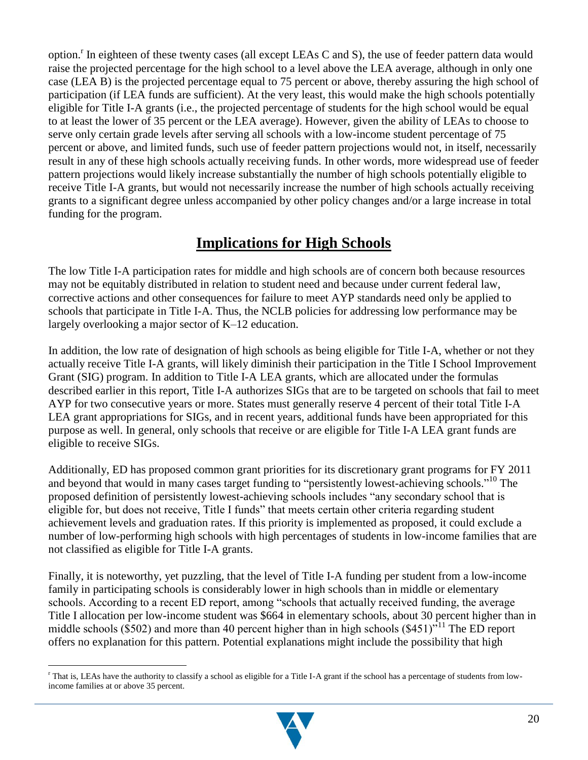option.<sup>r</sup> In eighteen of these twenty cases (all except LEAs C and S), the use of feeder pattern data would raise the projected percentage for the high school to a level above the LEA average, although in only one case (LEA B) is the projected percentage equal to 75 percent or above, thereby assuring the high school of participation (if LEA funds are sufficient). At the very least, this would make the high schools potentially eligible for Title I-A grants (i.e., the projected percentage of students for the high school would be equal to at least the lower of 35 percent or the LEA average). However, given the ability of LEAs to choose to serve only certain grade levels after serving all schools with a low-income student percentage of 75 percent or above, and limited funds, such use of feeder pattern projections would not, in itself, necessarily result in any of these high schools actually receiving funds. In other words, more widespread use of feeder pattern projections would likely increase substantially the number of high schools potentially eligible to receive Title I-A grants, but would not necessarily increase the number of high schools actually receiving grants to a significant degree unless accompanied by other policy changes and/or a large increase in total funding for the program.

### **Implications for High Schools**

The low Title I-A participation rates for middle and high schools are of concern both because resources may not be equitably distributed in relation to student need and because under current federal law, corrective actions and other consequences for failure to meet AYP standards need only be applied to schools that participate in Title I-A. Thus, the NCLB policies for addressing low performance may be largely overlooking a major sector of K–12 education.

In addition, the low rate of designation of high schools as being eligible for Title I-A, whether or not they actually receive Title I-A grants, will likely diminish their participation in the Title I School Improvement Grant (SIG) program. In addition to Title I-A LEA grants, which are allocated under the formulas described earlier in this report, Title I-A authorizes SIGs that are to be targeted on schools that fail to meet AYP for two consecutive years or more. States must generally reserve 4 percent of their total Title I-A LEA grant appropriations for SIGs, and in recent years, additional funds have been appropriated for this purpose as well. In general, only schools that receive or are eligible for Title I-A LEA grant funds are eligible to receive SIGs.

Additionally, ED has proposed common grant priorities for its discretionary grant programs for FY 2011 and beyond that would in many cases target funding to "persistently lowest-achieving schools."<sup>10</sup> The proposed definition of persistently lowest-achieving schools includes "any secondary school that is eligible for, but does not receive, Title I funds" that meets certain other criteria regarding student achievement levels and graduation rates. If this priority is implemented as proposed, it could exclude a number of low-performing high schools with high percentages of students in low-income families that are not classified as eligible for Title I-A grants.

Finally, it is noteworthy, yet puzzling, that the level of Title I-A funding per student from a low-income family in participating schools is considerably lower in high schools than in middle or elementary schools. According to a recent ED report, among "schools that actually received funding, the average Title I allocation per low-income student was \$664 in elementary schools, about 30 percent higher than in middle schools (\$502) and more than 40 percent higher than in high schools (\$451)<sup> $11$ </sup>. The ED report offers no explanation for this pattern. Potential explanations might include the possibility that high

 $\overline{a}$  $\Gamma$  That is, LEAs have the authority to classify a school as eligible for a Title I-A grant if the school has a percentage of students from lowincome families at or above 35 percent.

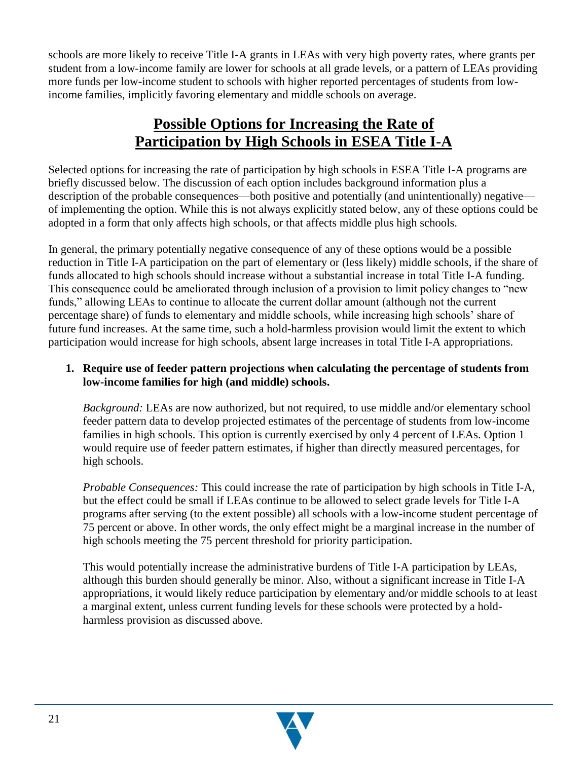schools are more likely to receive Title I-A grants in LEAs with very high poverty rates, where grants per student from a low-income family are lower for schools at all grade levels, or a pattern of LEAs providing more funds per low-income student to schools with higher reported percentages of students from lowincome families, implicitly favoring elementary and middle schools on average.

## **Possible Options for Increasing the Rate of Participation by High Schools in ESEA Title I-A**

Selected options for increasing the rate of participation by high schools in ESEA Title I-A programs are briefly discussed below. The discussion of each option includes background information plus a description of the probable consequences—both positive and potentially (and unintentionally) negative of implementing the option. While this is not always explicitly stated below, any of these options could be adopted in a form that only affects high schools, or that affects middle plus high schools.

In general, the primary potentially negative consequence of any of these options would be a possible reduction in Title I-A participation on the part of elementary or (less likely) middle schools, if the share of funds allocated to high schools should increase without a substantial increase in total Title I-A funding. This consequence could be ameliorated through inclusion of a provision to limit policy changes to "new" funds," allowing LEAs to continue to allocate the current dollar amount (although not the current percentage share) of funds to elementary and middle schools, while increasing high schools' share of future fund increases. At the same time, such a hold-harmless provision would limit the extent to which participation would increase for high schools, absent large increases in total Title I-A appropriations.

#### **1. Require use of feeder pattern projections when calculating the percentage of students from low-income families for high (and middle) schools.**

*Background:* LEAs are now authorized, but not required, to use middle and/or elementary school feeder pattern data to develop projected estimates of the percentage of students from low-income families in high schools. This option is currently exercised by only 4 percent of LEAs. Option 1 would require use of feeder pattern estimates, if higher than directly measured percentages, for high schools.

*Probable Consequences:* This could increase the rate of participation by high schools in Title I-A, but the effect could be small if LEAs continue to be allowed to select grade levels for Title I-A programs after serving (to the extent possible) all schools with a low-income student percentage of 75 percent or above. In other words, the only effect might be a marginal increase in the number of high schools meeting the 75 percent threshold for priority participation.

This would potentially increase the administrative burdens of Title I-A participation by LEAs, although this burden should generally be minor. Also, without a significant increase in Title I-A appropriations, it would likely reduce participation by elementary and/or middle schools to at least a marginal extent, unless current funding levels for these schools were protected by a holdharmless provision as discussed above.

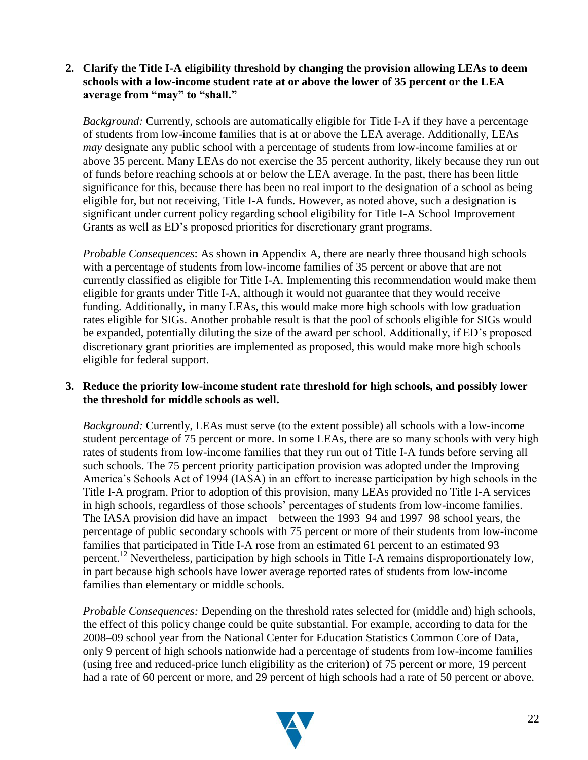#### **2. Clarify the Title I-A eligibility threshold by changing the provision allowing LEAs to deem schools with a low-income student rate at or above the lower of 35 percent or the LEA average from "may" to "shall."**

*Background:* Currently, schools are automatically eligible for Title I-A if they have a percentage of students from low-income families that is at or above the LEA average. Additionally, LEAs *may* designate any public school with a percentage of students from low-income families at or above 35 percent. Many LEAs do not exercise the 35 percent authority, likely because they run out of funds before reaching schools at or below the LEA average. In the past, there has been little significance for this, because there has been no real import to the designation of a school as being eligible for, but not receiving, Title I-A funds. However, as noted above, such a designation is significant under current policy regarding school eligibility for Title I-A School Improvement Grants as well as ED's proposed priorities for discretionary grant programs.

*Probable Consequences*: As shown in Appendix A, there are nearly three thousand high schools with a percentage of students from low-income families of 35 percent or above that are not currently classified as eligible for Title I-A. Implementing this recommendation would make them eligible for grants under Title I-A, although it would not guarantee that they would receive funding. Additionally, in many LEAs, this would make more high schools with low graduation rates eligible for SIGs. Another probable result is that the pool of schools eligible for SIGs would be expanded, potentially diluting the size of the award per school. Additionally, if ED's proposed discretionary grant priorities are implemented as proposed, this would make more high schools eligible for federal support.

#### **3. Reduce the priority low-income student rate threshold for high schools, and possibly lower the threshold for middle schools as well.**

*Background:* Currently, LEAs must serve (to the extent possible) all schools with a low-income student percentage of 75 percent or more. In some LEAs, there are so many schools with very high rates of students from low-income families that they run out of Title I-A funds before serving all such schools. The 75 percent priority participation provision was adopted under the Improving America's Schools Act of 1994 (IASA) in an effort to increase participation by high schools in the Title I-A program. Prior to adoption of this provision, many LEAs provided no Title I-A services in high schools, regardless of those schools' percentages of students from low-income families. The IASA provision did have an impact—between the 1993–94 and 1997–98 school years, the percentage of public secondary schools with 75 percent or more of their students from low-income families that participated in Title I-A rose from an estimated 61 percent to an estimated 93 percent.<sup>12</sup> Nevertheless, participation by high schools in Title I-A remains disproportionately low, in part because high schools have lower average reported rates of students from low-income families than elementary or middle schools.

*Probable Consequences:* Depending on the threshold rates selected for (middle and) high schools, the effect of this policy change could be quite substantial. For example, according to data for the 2008–09 school year from the National Center for Education Statistics Common Core of Data, only 9 percent of high schools nationwide had a percentage of students from low-income families (using free and reduced-price lunch eligibility as the criterion) of 75 percent or more, 19 percent had a rate of 60 percent or more, and 29 percent of high schools had a rate of 50 percent or above.

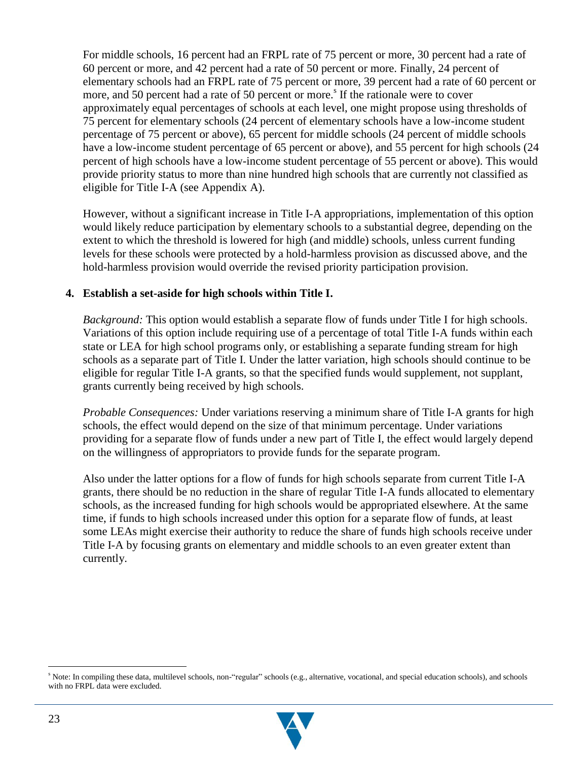For middle schools, 16 percent had an FRPL rate of 75 percent or more, 30 percent had a rate of 60 percent or more, and 42 percent had a rate of 50 percent or more. Finally, 24 percent of elementary schools had an FRPL rate of 75 percent or more, 39 percent had a rate of 60 percent or more, and 50 percent had a rate of 50 percent or more.<sup>8</sup> If the rationale were to cover approximately equal percentages of schools at each level, one might propose using thresholds of 75 percent for elementary schools (24 percent of elementary schools have a low-income student percentage of 75 percent or above), 65 percent for middle schools (24 percent of middle schools have a low-income student percentage of 65 percent or above), and 55 percent for high schools (24 percent of high schools have a low-income student percentage of 55 percent or above). This would provide priority status to more than nine hundred high schools that are currently not classified as eligible for Title I-A (see Appendix A).

However, without a significant increase in Title I-A appropriations, implementation of this option would likely reduce participation by elementary schools to a substantial degree, depending on the extent to which the threshold is lowered for high (and middle) schools, unless current funding levels for these schools were protected by a hold-harmless provision as discussed above, and the hold-harmless provision would override the revised priority participation provision.

#### **4. Establish a set-aside for high schools within Title I.**

*Background:* This option would establish a separate flow of funds under Title I for high schools. Variations of this option include requiring use of a percentage of total Title I-A funds within each state or LEA for high school programs only, or establishing a separate funding stream for high schools as a separate part of Title I. Under the latter variation, high schools should continue to be eligible for regular Title I-A grants, so that the specified funds would supplement, not supplant, grants currently being received by high schools.

*Probable Consequences:* Under variations reserving a minimum share of Title I-A grants for high schools, the effect would depend on the size of that minimum percentage. Under variations providing for a separate flow of funds under a new part of Title I, the effect would largely depend on the willingness of appropriators to provide funds for the separate program.

Also under the latter options for a flow of funds for high schools separate from current Title I-A grants, there should be no reduction in the share of regular Title I-A funds allocated to elementary schools, as the increased funding for high schools would be appropriated elsewhere. At the same time, if funds to high schools increased under this option for a separate flow of funds, at least some LEAs might exercise their authority to reduce the share of funds high schools receive under Title I-A by focusing grants on elementary and middle schools to an even greater extent than currently.

<sup>&</sup>lt;sup>s</sup> Note: In compiling these data, multilevel schools, non-"regular" schools (e.g., alternative, vocational, and special education schools), and schools with no FRPL data were excluded.

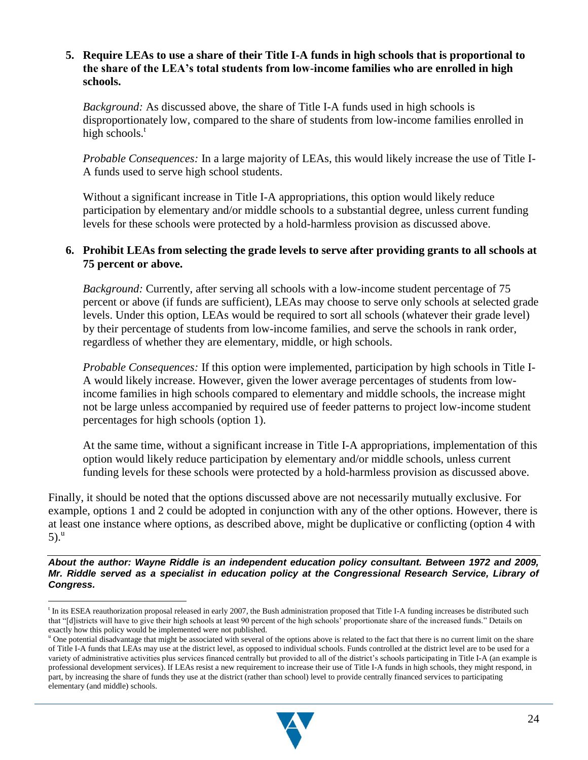#### **5. Require LEAs to use a share of their Title I-A funds in high schools that is proportional to the share of the LEA's total students from low-income families who are enrolled in high schools.**

*Background:* As discussed above, the share of Title I-A funds used in high schools is disproportionately low, compared to the share of students from low-income families enrolled in high schools. $<sup>t</sup>$ </sup>

*Probable Consequences:* In a large majority of LEAs, this would likely increase the use of Title I-A funds used to serve high school students.

Without a significant increase in Title I-A appropriations, this option would likely reduce participation by elementary and/or middle schools to a substantial degree, unless current funding levels for these schools were protected by a hold-harmless provision as discussed above.

#### **6. Prohibit LEAs from selecting the grade levels to serve after providing grants to all schools at 75 percent or above.**

*Background:* Currently, after serving all schools with a low-income student percentage of 75 percent or above (if funds are sufficient), LEAs may choose to serve only schools at selected grade levels. Under this option, LEAs would be required to sort all schools (whatever their grade level) by their percentage of students from low-income families, and serve the schools in rank order, regardless of whether they are elementary, middle, or high schools.

*Probable Consequences:* If this option were implemented, participation by high schools in Title I-A would likely increase. However, given the lower average percentages of students from lowincome families in high schools compared to elementary and middle schools, the increase might not be large unless accompanied by required use of feeder patterns to project low-income student percentages for high schools (option 1).

At the same time, without a significant increase in Title I-A appropriations, implementation of this option would likely reduce participation by elementary and/or middle schools, unless current funding levels for these schools were protected by a hold-harmless provision as discussed above.

Finally, it should be noted that the options discussed above are not necessarily mutually exclusive. For example, options 1 and 2 could be adopted in conjunction with any of the other options. However, there is at least one instance where options, as described above, might be duplicative or conflicting (option 4 with  $5)$ .<sup>u</sup>

*About the author: Wayne Riddle is an independent education policy consultant. Between 1972 and 2009, Mr. Riddle served as a specialist in education policy at the Congressional Research Service, Library of Congress.*

<sup>&</sup>lt;sup>u</sup> One potential disadvantage that might be associated with several of the options above is related to the fact that there is no current limit on the share of Title I-A funds that LEAs may use at the district level, as opposed to individual schools. Funds controlled at the district level are to be used for a variety of administrative activities plus services financed centrally but provided to all of the district's schools participating in Title I-A (an example is professional development services). If LEAs resist a new requirement to increase their use of Title I-A funds in high schools, they might respond, in part, by increasing the share of funds they use at the district (rather than school) level to provide centrally financed services to participating elementary (and middle) schools.



<sup>&</sup>lt;sup>t</sup> In its ESEA reauthorization proposal released in early 2007, the Bush administration proposed that Title I-A funding increases be distributed such that "[d]istricts will have to give their high schools at least 90 percent of the high schools' proportionate share of the increased funds." Details on exactly how this policy would be implemented were not published.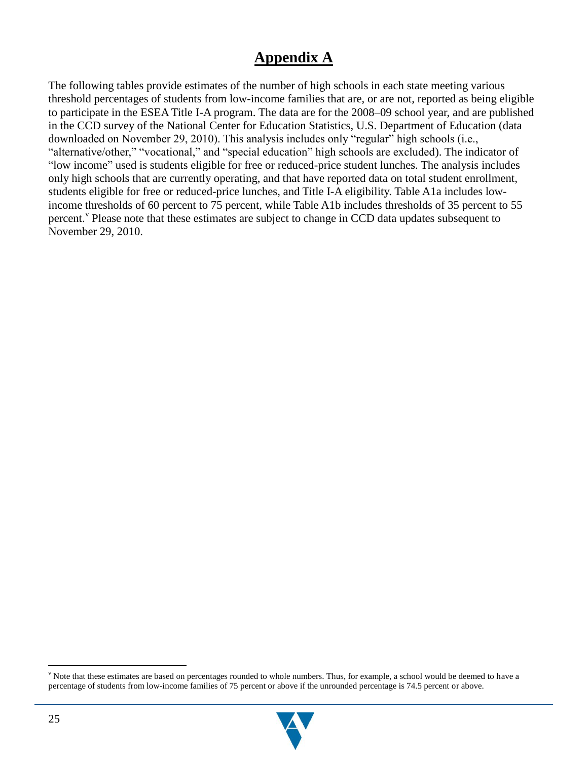### **Appendix A**

The following tables provide estimates of the number of high schools in each state meeting various threshold percentages of students from low-income families that are, or are not, reported as being eligible to participate in the ESEA Title I-A program. The data are for the 2008–09 school year, and are published in the CCD survey of the National Center for Education Statistics, U.S. Department of Education (data downloaded on November 29, 2010). This analysis includes only "regular" high schools (i.e., "alternative/other," "vocational," and "special education" high schools are excluded). The indicator of "low income" used is students eligible for free or reduced-price student lunches. The analysis includes only high schools that are currently operating, and that have reported data on total student enrollment, students eligible for free or reduced-price lunches, and Title I-A eligibility. Table A1a includes lowincome thresholds of 60 percent to 75 percent, while Table A1b includes thresholds of 35 percent to 55 percent.<sup>V</sup> Please note that these estimates are subject to change in CCD data updates subsequent to November 29, 2010.

<sup>&</sup>lt;sup>v</sup> Note that these estimates are based on percentages rounded to whole numbers. Thus, for example, a school would be deemed to have a percentage of students from low-income families of 75 percent or above if the unrounded percentage is 74.5 percent or above.

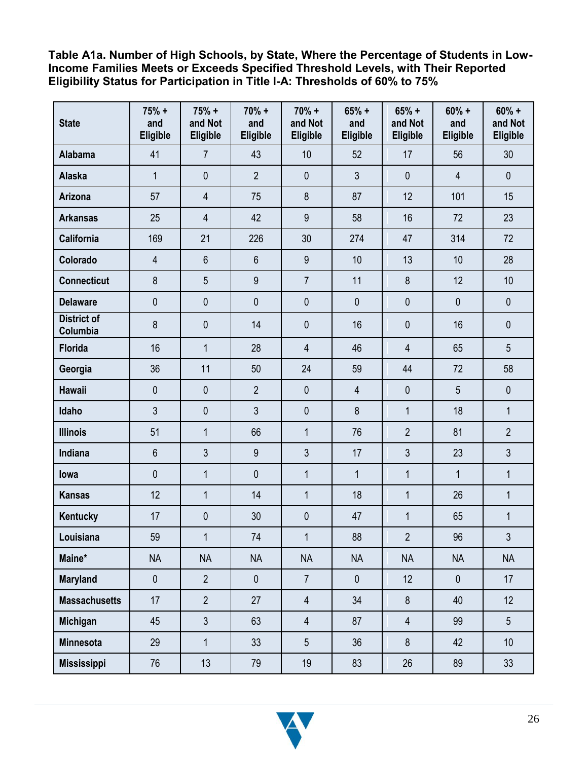**Table A1a. Number of High Schools, by State, Where the Percentage of Students in Low-Income Families Meets or Exceeds Specified Threshold Levels, with Their Reported Eligibility Status for Participation in Title I-A: Thresholds of 60% to 75%**

| <b>State</b>                   | $75% +$<br>and<br>Eligible | $75% +$<br>and Not<br><b>Eligible</b> | $70% +$<br>and<br>Eligible | $70% +$<br>and Not<br>Eligible | $65% +$<br>and<br>Eligible | $65% +$<br>and Not<br>Eligible | $60% +$<br>and<br>Eligible | $60% +$<br>and Not<br>Eligible |
|--------------------------------|----------------------------|---------------------------------------|----------------------------|--------------------------------|----------------------------|--------------------------------|----------------------------|--------------------------------|
| <b>Alabama</b>                 | 41                         | $\overline{7}$                        | 43                         | 10                             | 52                         | 17                             | 56                         | 30                             |
| <b>Alaska</b>                  | $\mathbf{1}$               | $\mathbf 0$                           | $\overline{2}$             | $\mathbf 0$                    | $\mathfrak{Z}$             | $\mathbf 0$                    | $\overline{4}$             | $\mathbf 0$                    |
| Arizona                        | 57                         | $\overline{4}$                        | 75                         | 8                              | 87                         | 12                             | 101                        | 15                             |
| <b>Arkansas</b>                | 25                         | $\overline{4}$                        | 42                         | 9                              | 58                         | 16                             | 72                         | 23                             |
| <b>California</b>              | 169                        | 21                                    | 226                        | 30                             | 274                        | 47                             | 314                        | 72                             |
| Colorado                       | $\overline{4}$             | $6\phantom{a}$                        | $6\phantom{1}$             | 9                              | 10                         | 13                             | 10                         | 28                             |
| <b>Connecticut</b>             | 8                          | 5                                     | 9                          | $\overline{7}$                 | 11                         | 8                              | 12                         | 10                             |
| <b>Delaware</b>                | $\mathbf 0$                | $\mathbf 0$                           | $\mathbf 0$                | $\mathbf 0$                    | $\mathbf 0$                | $\mathbf 0$                    | $\mathbf 0$                | $\mathbf 0$                    |
| <b>District of</b><br>Columbia | 8                          | $\mathbf 0$                           | 14                         | $\mathbf{0}$                   | 16                         | 0                              | 16                         | $\mathbf 0$                    |
| <b>Florida</b>                 | 16                         | $\mathbf{1}$                          | 28                         | $\overline{4}$                 | 46                         | $\overline{4}$                 | 65                         | 5                              |
| Georgia                        | 36                         | 11                                    | 50                         | 24                             | 59                         | 44                             | 72                         | 58                             |
| <b>Hawaii</b>                  | $\mathbf{0}$               | $\mathbf 0$                           | $\overline{2}$             | $\mathbf{0}$                   | $\overline{4}$             | $\mathbf{0}$                   | 5                          | $\mathbf 0$                    |
| Idaho                          | 3                          | $\mathbf 0$                           | 3                          | $\mathbf 0$                    | 8                          | $\mathbf{1}$                   | 18                         | $\mathbf{1}$                   |
| <b>Illinois</b>                | 51                         | $\mathbf{1}$                          | 66                         | $\mathbf{1}$                   | 76                         | $\overline{2}$                 | 81                         | $\overline{2}$                 |
| Indiana                        | $6\phantom{1}$             | 3                                     | 9                          | 3                              | 17                         | 3                              | 23                         | 3                              |
| lowa                           | $\mathbf 0$                | $\mathbf{1}$                          | $\mathbf 0$                | $\mathbf{1}$                   | $\mathbf{1}$               | $\mathbf{1}$                   | $\mathbf{1}$               | $\mathbf{1}$                   |
| <b>Kansas</b>                  | 12                         | $\mathbf{1}$                          | 14                         | $\mathbf{1}$                   | 18                         | $\mathbf{1}$                   | 26                         | $\mathbf{1}$                   |
| Kentucky                       | 17                         | $\mathbf 0$                           | 30                         | $\mathbf{0}$                   | 47                         | $\mathbf{1}$                   | 65                         | $\mathbf{1}$                   |
| Louisiana                      | 59                         | $\mathbf{1}$                          | 74                         | 1                              | 88                         | $\overline{2}$                 | 96                         | $\mathfrak{Z}$                 |
| Maine*                         | <b>NA</b>                  | <b>NA</b>                             | <b>NA</b>                  | <b>NA</b>                      | <b>NA</b>                  | <b>NA</b>                      | <b>NA</b>                  | <b>NA</b>                      |
| <b>Maryland</b>                | $\pmb{0}$                  | $\overline{2}$                        | $\mathbf 0$                | $\overline{7}$                 | $\pmb{0}$                  | 12                             | $\pmb{0}$                  | 17                             |
| <b>Massachusetts</b>           | 17                         | $\overline{2}$                        | 27                         | $\overline{4}$                 | 34                         | $8\phantom{1}$                 | 40                         | 12                             |
| Michigan                       | 45                         | $\mathfrak{S}$                        | 63                         | $\overline{4}$                 | 87                         | $\overline{4}$                 | 99                         | $5\phantom{.}$                 |
| <b>Minnesota</b>               | 29                         | $\mathbf{1}$                          | 33                         | $5\overline{)}$                | 36                         | $\boldsymbol{8}$               | 42                         | 10 <sup>°</sup>                |
| <b>Mississippi</b>             | 76                         | 13                                    | 79                         | 19                             | 83                         | 26                             | 89                         | 33                             |

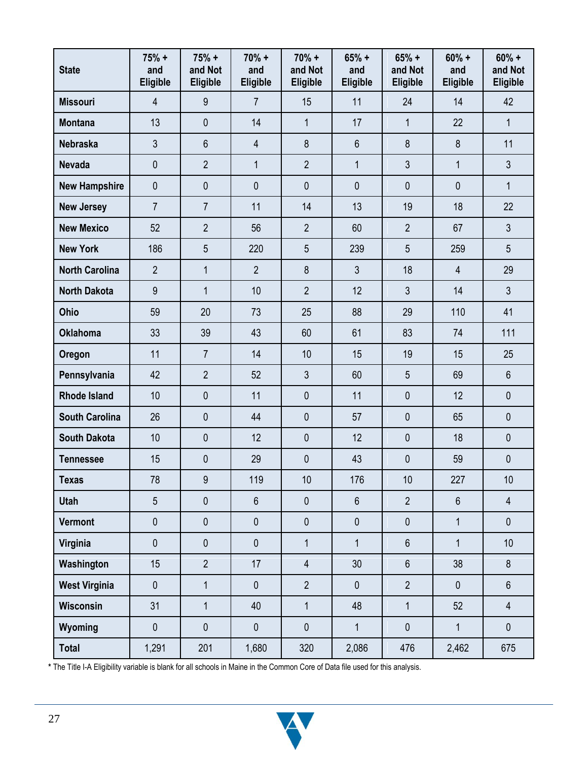| <b>State</b>          | $75% +$<br>and<br><b>Eligible</b> | $75% +$<br>and Not<br>Eligible | $70% +$<br>and<br><b>Eligible</b> | $70% +$<br>and Not<br>Eligible | $65% +$<br>and<br>Eligible | $65% +$<br>and Not<br><b>Eligible</b> | $60% +$<br>and<br>Eligible | $60% +$<br>and Not<br>Eligible |
|-----------------------|-----------------------------------|--------------------------------|-----------------------------------|--------------------------------|----------------------------|---------------------------------------|----------------------------|--------------------------------|
| <b>Missouri</b>       | $\overline{4}$                    | 9                              | $\overline{7}$                    | 15                             | 11                         | 24                                    | 14                         | 42                             |
| <b>Montana</b>        | 13                                | $\mathbf{0}$                   | 14                                | $\mathbf{1}$                   | 17                         | $\mathbf{1}$                          | 22                         | $\mathbf{1}$                   |
| <b>Nebraska</b>       | 3                                 | $6\phantom{1}$                 | 4                                 | 8                              | 6                          | 8                                     | 8                          | 11                             |
| <b>Nevada</b>         | 0                                 | $\overline{2}$                 | $\mathbf{1}$                      | $\overline{2}$                 | $\mathbf{1}$               | $\mathfrak{Z}$                        | $\mathbf{1}$               | $\mathfrak{Z}$                 |
| <b>New Hampshire</b>  | $\pmb{0}$                         | $\mathbf{0}$                   | $\mathbf 0$                       | $\mathbf 0$                    | 0                          | $\mathbf 0$                           | $\mathbf 0$                | $\mathbf{1}$                   |
| <b>New Jersey</b>     | $\overline{7}$                    | $\overline{7}$                 | 11                                | 14                             | 13                         | 19                                    | 18                         | 22                             |
| <b>New Mexico</b>     | 52                                | $\overline{2}$                 | 56                                | $\overline{2}$                 | 60                         | $\overline{2}$                        | 67                         | $\mathfrak{Z}$                 |
| <b>New York</b>       | 186                               | 5                              | 220                               | 5                              | 239                        | 5                                     | 259                        | 5                              |
| <b>North Carolina</b> | $\overline{2}$                    | $\mathbf{1}$                   | $\overline{2}$                    | 8                              | 3                          | 18                                    | $\overline{4}$             | 29                             |
| <b>North Dakota</b>   | 9                                 | $\mathbf{1}$                   | 10                                | $\overline{2}$                 | 12                         | 3                                     | 14                         | $\mathfrak{Z}$                 |
| Ohio                  | 59                                | 20                             | 73                                | 25                             | 88                         | 29                                    | 110                        | 41                             |
| <b>Oklahoma</b>       | 33                                | 39                             | 43                                | 60                             | 61                         | 83                                    | 74                         | 111                            |
| Oregon                | 11                                | $\overline{7}$                 | 14                                | 10                             | 15                         | 19                                    | 15                         | 25                             |
| Pennsylvania          | 42                                | $\overline{2}$                 | 52                                | 3                              | 60                         | $\overline{5}$                        | 69                         | 6                              |
| <b>Rhode Island</b>   | 10                                | $\mathbf{0}$                   | 11                                | $\mathbf 0$                    | 11                         | $\mathbf 0$                           | 12                         | $\mathbf 0$                    |
| <b>South Carolina</b> | 26                                | $\mathbf{0}$                   | 44                                | $\mathbf 0$                    | 57                         | $\mathbf 0$                           | 65                         | $\mathbf 0$                    |
| <b>South Dakota</b>   | 10                                | $\mathbf 0$                    | 12                                | $\pmb{0}$                      | 12                         | $\mathbf 0$                           | 18                         | $\pmb{0}$                      |
| <b>Tennessee</b>      | 15                                | $\mathbf 0$                    | 29                                | $\pmb{0}$                      | 43                         | $\pmb{0}$                             | 59                         | 0                              |
| <b>Texas</b>          | $78\,$                            | $9\,$                          | 119                               | 10                             | 176                        | $10$                                  | 227                        | 10                             |
| <b>Utah</b>           | 5                                 | $\mathbf 0$                    | $6\phantom{.}$                    | $\mathbf 0$                    | $6\phantom{a}$             | $\overline{2}$                        | $6\,$                      | $\overline{4}$                 |
| Vermont               | $\pmb{0}$                         | $\pmb{0}$                      | $\mathbf 0$                       | $\pmb{0}$                      | $\pmb{0}$                  | $\pmb{0}$                             | $\mathbf{1}$               | $\mathbf 0$                    |
| Virginia              | $\pmb{0}$                         | $\pmb{0}$                      | $\pmb{0}$                         | $\overline{1}$                 | $\mathbf{1}$               | $6\,$                                 | $\mathbf{1}$               | 10                             |
| Washington            | 15                                | $\overline{2}$                 | 17                                | $\overline{4}$                 | 30                         | $6\phantom{1}$                        | 38                         | 8                              |
| <b>West Virginia</b>  | $\pmb{0}$                         | $\mathbf{1}$                   | $\mathbf 0$                       | $\overline{2}$                 | $\mathbf 0$                | $\overline{2}$                        | $\mathbf 0$                | $6\,$                          |
| <b>Wisconsin</b>      | 31                                | $\mathbf{1}$                   | 40                                | $\mathbf{1}$                   | 48                         | $\mathbf{1}$                          | 52                         | $\overline{4}$                 |
| Wyoming               | $\pmb{0}$                         | $\pmb{0}$                      | $\pmb{0}$                         | $\pmb{0}$                      | $\mathbf 1$                | $\pmb{0}$                             | $\mathbf{1}$               | $\pmb{0}$                      |
| <b>Total</b>          | 1,291                             | 201                            | 1,680                             | 320                            | 2,086                      | 476                                   | 2,462                      | 675                            |

**\*** The Title I-A Eligibility variable is blank for all schools in Maine in the Common Core of Data file used for this analysis.

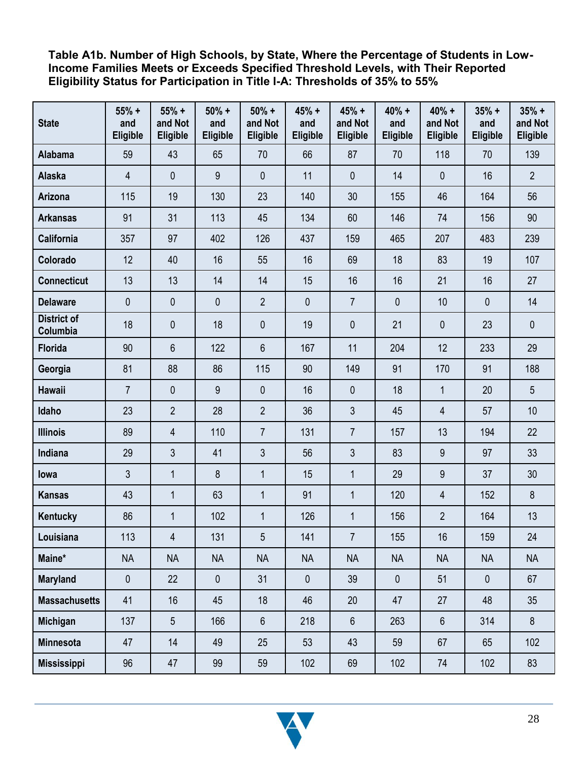**Table A1b. Number of High Schools, by State, Where the Percentage of Students in Low-Income Families Meets or Exceeds Specified Threshold Levels, with Their Reported Eligibility Status for Participation in Title I-A: Thresholds of 35% to 55%**

| <b>State</b>                   | $55% +$<br>and<br><b>Eligible</b> | $55% +$<br>and Not<br>Eligible | $50% +$<br>and<br>Eligible | $50% +$<br>and Not<br>Eligible | $45% +$<br>and<br><b>Eligible</b> | $45% +$<br>and Not<br>Eligible | $40% +$<br>and<br>Eligible | $40% +$<br>and Not<br>Eligible | $35% +$<br>and<br>Eligible | $35% +$<br>and Not<br>Eligible |
|--------------------------------|-----------------------------------|--------------------------------|----------------------------|--------------------------------|-----------------------------------|--------------------------------|----------------------------|--------------------------------|----------------------------|--------------------------------|
| <b>Alabama</b>                 | 59                                | 43                             | 65                         | 70                             | 66                                | 87                             | 70                         | 118                            | 70                         | 139                            |
| <b>Alaska</b>                  | $\overline{4}$                    | $\mathbf 0$                    | 9                          | $\mathbf 0$                    | 11                                | $\mathbf 0$                    | 14                         | $\mathbf{0}$                   | 16                         | $\overline{2}$                 |
| Arizona                        | 115                               | 19                             | 130                        | 23                             | 140                               | 30                             | 155                        | 46                             | 164                        | 56                             |
| <b>Arkansas</b>                | 91                                | 31                             | 113                        | 45                             | 134                               | 60                             | 146                        | 74                             | 156                        | 90                             |
| <b>California</b>              | 357                               | 97                             | 402                        | 126                            | 437                               | 159                            | 465                        | 207                            | 483                        | 239                            |
| Colorado                       | 12                                | 40                             | 16                         | 55                             | 16                                | 69                             | 18                         | 83                             | 19                         | 107                            |
| <b>Connecticut</b>             | 13                                | 13                             | 14                         | 14                             | 15                                | 16                             | 16                         | 21                             | 16                         | 27                             |
| <b>Delaware</b>                | 0                                 | 0                              | $\mathbf{0}$               | $\overline{2}$                 | $\mathbf 0$                       | $\overline{7}$                 | 0                          | 10                             | $\overline{0}$             | 14                             |
| <b>District of</b><br>Columbia | 18                                | 0                              | 18                         | 0                              | 19                                | $\mathbf{0}$                   | 21                         | $\mathbf 0$                    | 23                         | $\mathbf 0$                    |
| <b>Florida</b>                 | 90                                | 6                              | 122                        | 6                              | 167                               | 11                             | 204                        | 12                             | 233                        | 29                             |
| Georgia                        | 81                                | 88                             | 86                         | 115                            | 90                                | 149                            | 91                         | 170                            | 91                         | 188                            |
| <b>Hawaii</b>                  | $\overline{7}$                    | 0                              | 9                          | $\mathbf{0}$                   | 16                                | $\mathbf{0}$                   | 18                         | $\mathbf{1}$                   | 20                         | $\overline{5}$                 |
| Idaho                          | 23                                | $\overline{2}$                 | 28                         | $\overline{2}$                 | 36                                | 3                              | 45                         | 4                              | 57                         | 10                             |
| <b>Illinois</b>                | 89                                | 4                              | 110                        | 7                              | 131                               | $\overline{7}$                 | 157                        | 13                             | 194                        | 22                             |
| Indiana                        | 29                                | 3                              | 41                         | 3                              | 56                                | 3                              | 83                         | 9                              | 97                         | 33                             |
| lowa                           | 3                                 | $\mathbf{1}$                   | 8                          | $\mathbf{1}$                   | 15                                | $\mathbf{1}$                   | 29                         | 9                              | 37                         | 30                             |
| <b>Kansas</b>                  | 43                                | $\mathbf{1}$                   | 63                         | $\mathbf{1}$                   | 91                                | $\mathbf{1}$                   | 120                        | 4                              | 152                        | 8                              |
| Kentucky                       | 86                                | $\mathbf{1}$                   | 102                        | $\mathbf{1}$                   | 126                               | $\mathbf{1}$                   | 156                        | $\overline{2}$                 | 164                        | 13                             |
| Louisiana                      | 113                               | $\overline{\mathbf{4}}$        | 131                        | 5                              | 141                               | $\overline{7}$                 | 155                        | 16                             | 159                        | 24                             |
| Maine*                         | <b>NA</b>                         | <b>NA</b>                      | <b>NA</b>                  | <b>NA</b>                      | <b>NA</b>                         | <b>NA</b>                      | <b>NA</b>                  | <b>NA</b>                      | <b>NA</b>                  | <b>NA</b>                      |
| <b>Maryland</b>                | $\pmb{0}$                         | 22                             | $\pmb{0}$                  | 31                             | $\pmb{0}$                         | 39                             | $\pmb{0}$                  | 51                             | $\mathbf 0$                | 67                             |
| <b>Massachusetts</b>           | 41                                | 16                             | 45                         | 18                             | 46                                | 20                             | 47                         | 27                             | 48                         | 35                             |
| <b>Michigan</b>                | 137                               | 5                              | 166                        | 6                              | 218                               | $6\phantom{.}$                 | 263                        | $6\phantom{.}$                 | 314                        | 8                              |
| Minnesota                      | 47                                | 14                             | 49                         | 25                             | 53                                | 43                             | 59                         | 67                             | 65                         | 102                            |
| <b>Mississippi</b>             | 96                                | 47                             | 99                         | 59                             | 102                               | 69                             | 102                        | 74                             | 102                        | 83                             |

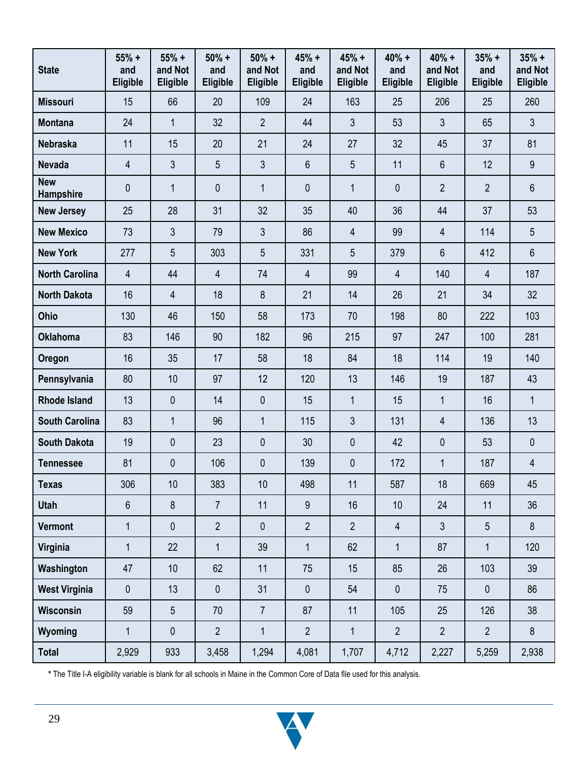| <b>State</b>            | $55% +$<br>and<br><b>Eligible</b> | $55% +$<br>and Not<br>Eligible | $50% +$<br>and<br>Eligible | $50% +$<br>and Not<br>Eligible | 45% +<br>and<br>Eligible | $45% +$<br>and Not<br>Eligible | $40% +$<br>and<br>Eligible | $40% +$<br>and Not<br>Eligible | $35% +$<br>and<br>Eligible | $35% +$<br>and Not<br>Eligible |
|-------------------------|-----------------------------------|--------------------------------|----------------------------|--------------------------------|--------------------------|--------------------------------|----------------------------|--------------------------------|----------------------------|--------------------------------|
| <b>Missouri</b>         | 15                                | 66                             | 20                         | 109                            | 24                       | 163                            | 25                         | 206                            | 25                         | 260                            |
| <b>Montana</b>          | 24                                | $\mathbf{1}$                   | 32                         | $\overline{2}$                 | 44                       | 3                              | 53                         | 3                              | 65                         | $\mathfrak{Z}$                 |
| <b>Nebraska</b>         | 11                                | 15                             | 20                         | 21                             | 24                       | 27                             | 32                         | 45                             | 37                         | 81                             |
| <b>Nevada</b>           | $\overline{4}$                    | 3                              | 5                          | 3                              | $6\,$                    | 5                              | 11                         | $6\phantom{1}$                 | 12                         | 9                              |
| <b>New</b><br>Hampshire | $\mathbf 0$                       | $\mathbf{1}$                   | $\mathbf{0}$               | $\mathbf{1}$                   | $\mathbf 0$              | $\mathbf{1}$                   | 0                          | $\overline{2}$                 | $\overline{2}$             | $6\phantom{1}$                 |
| <b>New Jersey</b>       | 25                                | 28                             | 31                         | 32                             | 35                       | 40                             | 36                         | 44                             | 37                         | 53                             |
| <b>New Mexico</b>       | 73                                | 3                              | 79                         | 3                              | 86                       | 4                              | 99                         | 4                              | 114                        | 5                              |
| <b>New York</b>         | 277                               | 5                              | 303                        | 5                              | 331                      | 5                              | 379                        | 6                              | 412                        | 6                              |
| <b>North Carolina</b>   | 4                                 | 44                             | 4                          | 74                             | $\overline{4}$           | 99                             | $\overline{4}$             | 140                            | $\overline{4}$             | 187                            |
| <b>North Dakota</b>     | 16                                | 4                              | 18                         | 8                              | 21                       | 14                             | 26                         | 21                             | 34                         | 32                             |
| Ohio                    | 130                               | 46                             | 150                        | 58                             | 173                      | 70                             | 198                        | 80                             | 222                        | 103                            |
| <b>Oklahoma</b>         | 83                                | 146                            | 90                         | 182                            | 96                       | 215                            | 97                         | 247                            | 100                        | 281                            |
| Oregon                  | 16                                | 35                             | 17                         | 58                             | 18                       | 84                             | 18                         | 114                            | 19                         | 140                            |
| Pennsylvania            | 80                                | 10                             | 97                         | 12                             | 120                      | 13                             | 146                        | 19                             | 187                        | 43                             |
| <b>Rhode Island</b>     | 13                                | 0                              | 14                         | $\mathbf 0$                    | 15                       | $\mathbf{1}$                   | 15                         | $\mathbf{1}$                   | 16                         | $\mathbf{1}$                   |
| <b>South Carolina</b>   | 83                                | $\mathbf{1}$                   | 96                         | $\mathbf{1}$                   | 115                      | 3                              | 131                        | $\overline{4}$                 | 136                        | 13                             |
| <b>South Dakota</b>     | 19                                | 0                              | 23                         | $\mathbf{0}$                   | 30                       | $\mathbf 0$                    | 42                         | $\mathbf 0$                    | 53                         | $\mathbf 0$                    |
| <b>Tennessee</b>        | 81                                | 0                              | 106                        | 0                              | 139                      | $\mathbf 0$                    | 172                        | $\mathbf 1$                    | 187                        | 4                              |
| <b>Texas</b>            | 306                               | 10                             | 383                        | 10                             | 498                      | 11                             | 587                        | 18                             | 669                        | 45                             |
| <b>Utah</b>             | 6                                 | $\bf 8$                        | $\overline{7}$             | 11                             | $\boldsymbol{9}$         | 16                             | 10                         | 24                             | 11                         | 36                             |
| <b>Vermont</b>          | $\mathbf{1}$                      | 0                              | $\overline{2}$             | $\mathbf 0$                    | $\overline{2}$           | $\overline{2}$                 | $\overline{4}$             | $\mathfrak{Z}$                 | 5                          | $8\phantom{1}$                 |
| Virginia                | $\mathbf 1$                       | 22                             | $\mathbf{1}$               | 39                             | $\mathbf{1}$             | 62                             | $\mathbf{1}$               | 87                             | $\mathbf{1}$               | 120                            |
| Washington              | 47                                | 10                             | 62                         | 11                             | 75                       | 15                             | 85                         | 26                             | 103                        | 39                             |
| <b>West Virginia</b>    | $\pmb{0}$                         | 13                             | $\pmb{0}$                  | 31                             | $\pmb{0}$                | 54                             | 0                          | 75                             | $\pmb{0}$                  | 86                             |
| Wisconsin               | 59                                | 5                              | 70                         | $\overline{7}$                 | 87                       | 11                             | 105                        | 25                             | 126                        | 38                             |
| Wyoming                 | $\mathbf{1}$                      | 0                              | $\overline{2}$             | $\mathbf{1}$                   | $\overline{2}$           | $\mathbf{1}$                   | $\overline{2}$             | $\overline{2}$                 | $\overline{2}$             | $8\phantom{1}$                 |
| <b>Total</b>            | 2,929                             | 933                            | 3,458                      | 1,294                          | 4,081                    | 1,707                          | 4,712                      | 2,227                          | 5,259                      | 2,938                          |

**\*** The Title I-A eligibility variable is blank for all schools in Maine in the Common Core of Data file used for this analysis.